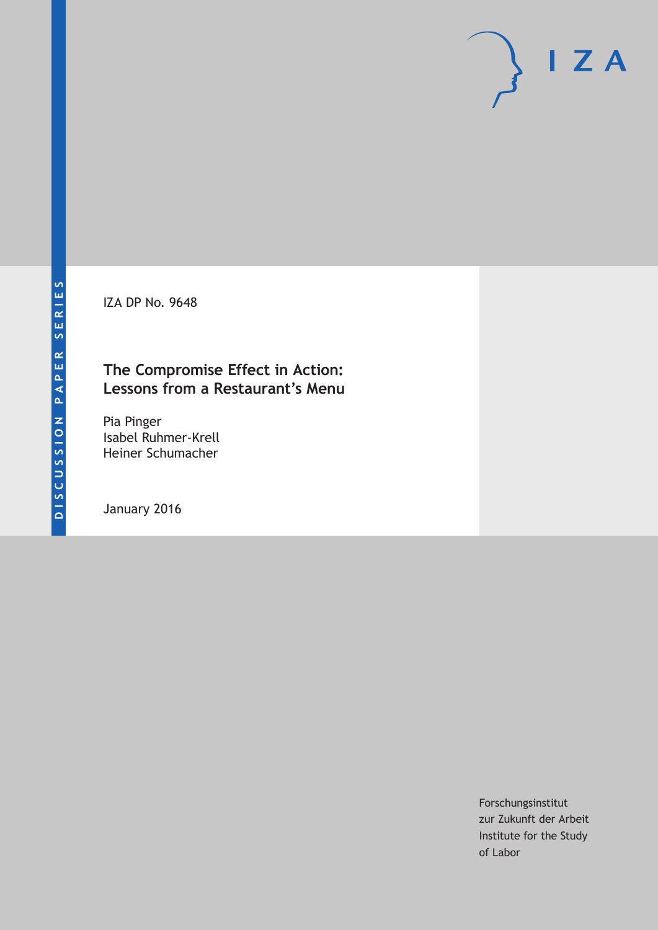IZA DP No. 9648

## **The Compromise Effect in Action: Lessons from a Restaurant's Menu**

Pia Pinger Isabel Ruhmer-Krell Heiner Schumacher

January 2016

Forschungsinstitut zur Zukunft der Arbeit Institute for the Study of Labor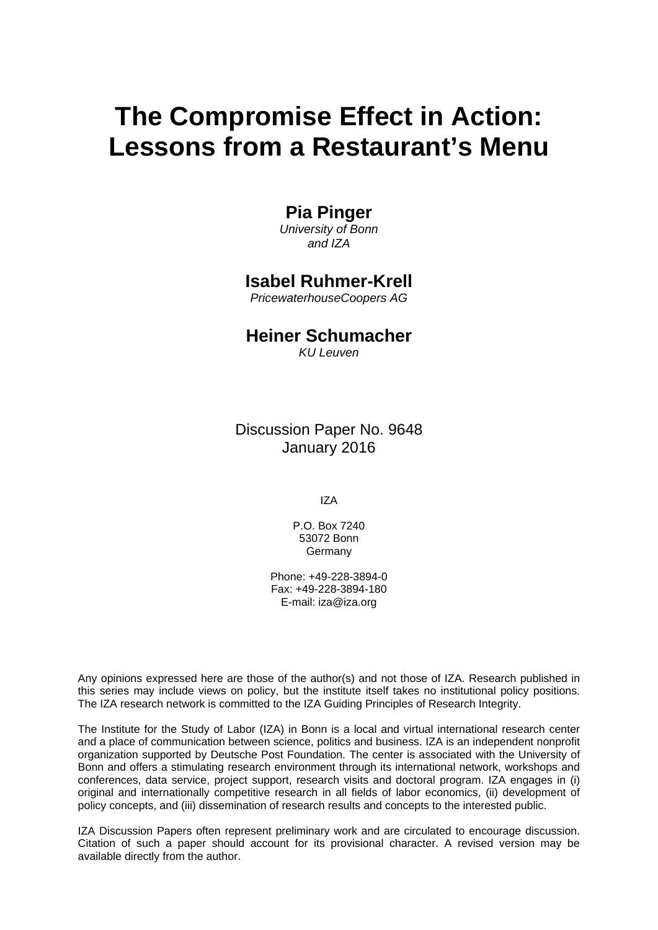# **The Compromise Effect in Action: Lessons from a Restaurant's Menu**

## **Pia Pinger**

*University of Bonn and IZA* 

## **Isabel Ruhmer-Krell**

*PricewaterhouseCoopers AG* 

## **Heiner Schumacher**

*KU Leuven*

Discussion Paper No. 9648 January 2016

IZA

P.O. Box 7240 53072 Bonn Germany

Phone: +49-228-3894-0 Fax: +49-228-3894-180 E-mail: iza@iza.org

Any opinions expressed here are those of the author(s) and not those of IZA. Research published in this series may include views on policy, but the institute itself takes no institutional policy positions. The IZA research network is committed to the IZA Guiding Principles of Research Integrity.

The Institute for the Study of Labor (IZA) in Bonn is a local and virtual international research center and a place of communication between science, politics and business. IZA is an independent nonprofit organization supported by Deutsche Post Foundation. The center is associated with the University of Bonn and offers a stimulating research environment through its international network, workshops and conferences, data service, project support, research visits and doctoral program. IZA engages in (i) original and internationally competitive research in all fields of labor economics, (ii) development of policy concepts, and (iii) dissemination of research results and concepts to the interested public.

IZA Discussion Papers often represent preliminary work and are circulated to encourage discussion. Citation of such a paper should account for its provisional character. A revised version may be available directly from the author.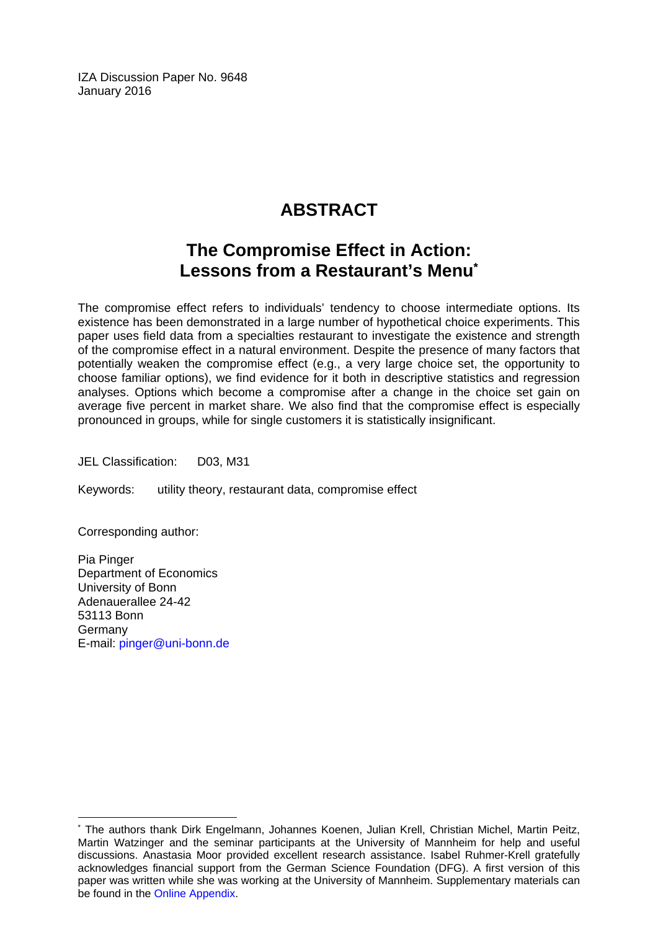IZA Discussion Paper No. 9648 January 2016

## **ABSTRACT**

## **The Compromise Effect in Action: Lessons from a Restaurant's Menu\***

The compromise effect refers to individuals' tendency to choose intermediate options. Its existence has been demonstrated in a large number of hypothetical choice experiments. This paper uses field data from a specialties restaurant to investigate the existence and strength of the compromise effect in a natural environment. Despite the presence of many factors that potentially weaken the compromise effect (e.g., a very large choice set, the opportunity to choose familiar options), we find evidence for it both in descriptive statistics and regression analyses. Options which become a compromise after a change in the choice set gain on average five percent in market share. We also find that the compromise effect is especially pronounced in groups, while for single customers it is statistically insignificant.

JEL Classification: D03, M31

Keywords: utility theory, restaurant data, compromise effect

Corresponding author:

 $\overline{a}$ 

Pia Pinger Department of Economics University of Bonn Adenauerallee 24-42 53113 Bonn Germany E-mail: pinger@uni-bonn.de

<sup>\*</sup> The authors thank Dirk Engelmann, Johannes Koenen, Julian Krell, Christian Michel, Martin Peitz, Martin Watzinger and the seminar participants at the University of Mannheim for help and useful discussions. Anastasia Moor provided excellent research assistance. Isabel Ruhmer-Krell gratefully acknowledges financial support from the German Science Foundation (DFG). A first version of this paper was written while she was working at the University of Mannheim. Supplementary materials can be found in the [Online Appendix.](https://docs.google.com/viewer?a=v&pid=sites&srcid=ZGVmYXVsdGRvbWFpbnxwaWFwaW5nZXJ8Z3g6NGE1NjFiMGE2NTVjYzAyMw)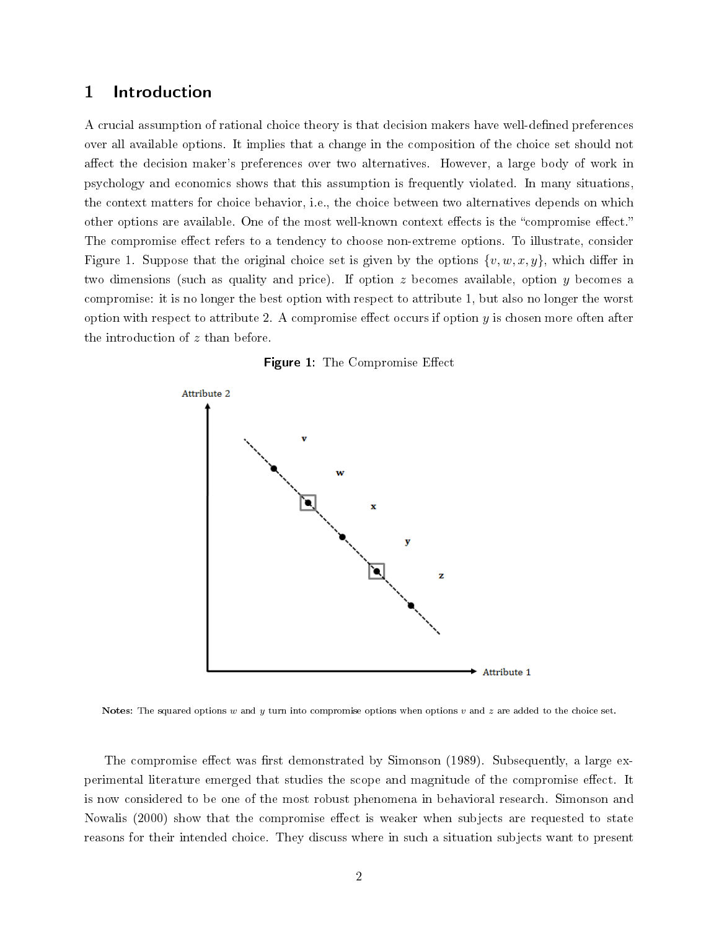### 1 Introduction

A crucial assumption of rational choice theory is that decision makers have well-defined preferences over all available options. It implies that a change in the composition of the choice set should not affect the decision maker's preferences over two alternatives. However, a large body of work in psychology and economics shows that this assumption is frequently violated. In many situations, the context matters for choice behavior, i.e., the choice between two alternatives depends on which other options are available. One of the most well-known context effects is the "compromise effect." The compromise effect refers to a tendency to choose non-extreme options. To illustrate, consider Figure 1. Suppose that the original choice set is given by the options  $\{v, w, x, y\}$ , which differ in two dimensions (such as quality and price). If option  $z$  becomes available, option  $y$  becomes a compromise: it is no longer the best option with respect to attribute 1, but also no longer the worst option with respect to attribute 2. A compromise effect occurs if option  $y$  is chosen more often after the introduction of z than before.





Notes: The squared options w and y turn into compromise options when options v and z are added to the choice set.

The compromise effect was first demonstrated by Simonson (1989). Subsequently, a large experimental literature emerged that studies the scope and magnitude of the compromise effect. It is now considered to be one of the most robust phenomena in behavioral research. Simonson and Nowalis (2000) show that the compromise effect is weaker when subjects are requested to state reasons for their intended choice. They discuss where in such a situation subjects want to present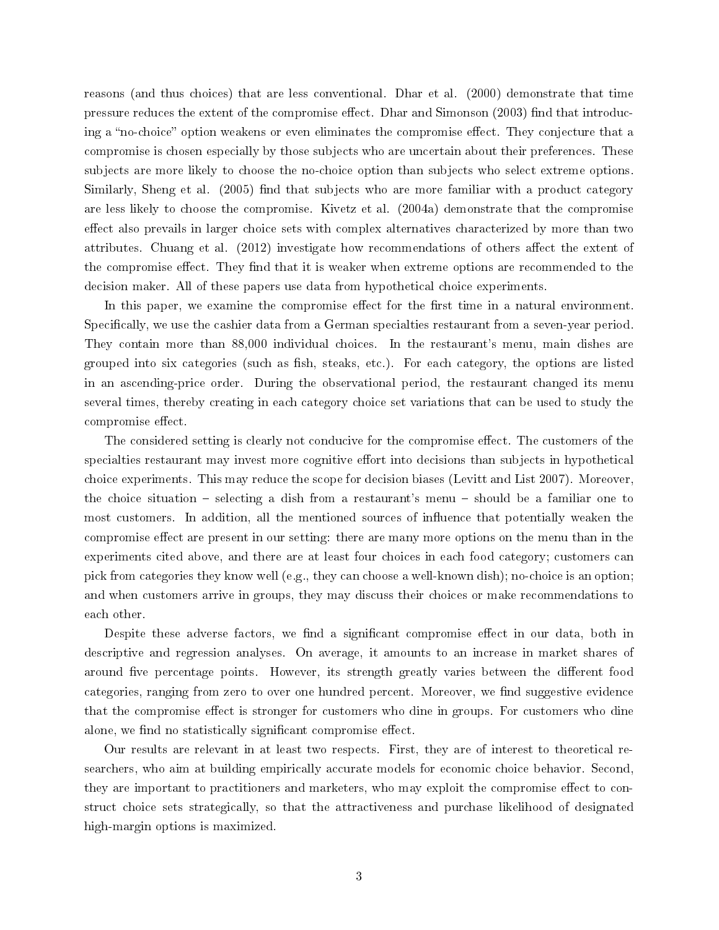reasons (and thus choices) that are less conventional. Dhar et al. (2000) demonstrate that time pressure reduces the extent of the compromise effect. Dhar and Simonson (2003) find that introducing a "no-choice" option weakens or even eliminates the compromise effect. They conjecture that a compromise is chosen especially by those subjects who are uncertain about their preferences. These subjects are more likely to choose the no-choice option than subjects who select extreme options. Similarly, Sheng et al. (2005) find that subjects who are more familiar with a product category are less likely to choose the compromise. Kivetz et al. (2004a) demonstrate that the compromise effect also prevails in larger choice sets with complex alternatives characterized by more than two attributes. Chuang et al.  $(2012)$  investigate how recommendations of others affect the extent of the compromise effect. They find that it is weaker when extreme options are recommended to the decision maker. All of these papers use data from hypothetical choice experiments.

In this paper, we examine the compromise effect for the first time in a natural environment. Specifically, we use the cashier data from a German specialties restaurant from a seven-year period. They contain more than 88,000 individual choices. In the restaurant's menu, main dishes are grouped into six categories (such as fish, steaks, etc.). For each category, the options are listed in an ascending-price order. During the observational period, the restaurant changed its menu several times, thereby creating in each category choice set variations that can be used to study the compromise effect.

The considered setting is clearly not conducive for the compromise effect. The customers of the specialties restaurant may invest more cognitive effort into decisions than subjects in hypothetical choice experiments. This may reduce the scope for decision biases (Levitt and List 2007). Moreover, the choice situation  $-$  selecting a dish from a restaurant's menu  $-$  should be a familiar one to most customers. In addition, all the mentioned sources of influence that potentially weaken the compromise effect are present in our setting: there are many more options on the menu than in the experiments cited above, and there are at least four choices in each food category; customers can pick from categories they know well (e.g., they can choose a well-known dish); no-choice is an option; and when customers arrive in groups, they may discuss their choices or make recommendations to each other.

Despite these adverse factors, we find a significant compromise effect in our data, both in descriptive and regression analyses. On average, it amounts to an increase in market shares of around five percentage points. However, its strength greatly varies between the different food categories, ranging from zero to over one hundred percent. Moreover, we find suggestive evidence that the compromise effect is stronger for customers who dine in groups. For customers who dine alone, we find no statistically significant compromise effect.

Our results are relevant in at least two respects. First, they are of interest to theoretical researchers, who aim at building empirically accurate models for economic choice behavior. Second, they are important to practitioners and marketers, who may exploit the compromise effect to construct choice sets strategically, so that the attractiveness and purchase likelihood of designated high-margin options is maximized.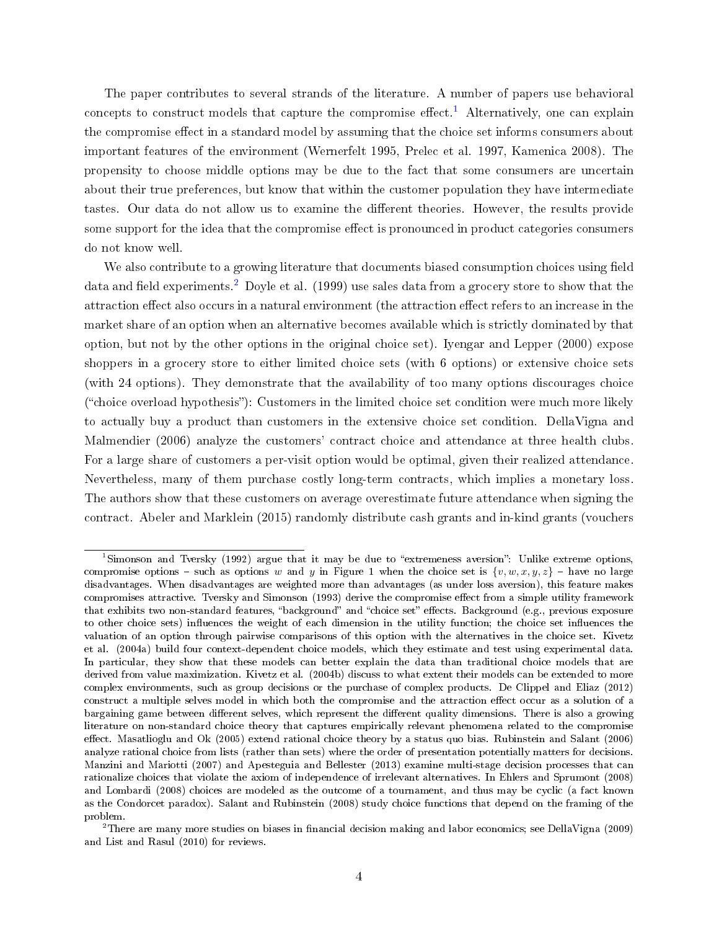The paper contributes to several strands of the literature. A number of papers use behavioral concepts to construct models that capture the compromise effect.<sup>[1](#page-5-0)</sup> Alternatively, one can explain the compromise effect in a standard model by assuming that the choice set informs consumers about important features of the environment (Wernerfelt 1995, Prelec et al. 1997, Kamenica 2008). The propensity to choose middle options may be due to the fact that some consumers are uncertain about their true preferences, but know that within the customer population they have intermediate tastes. Our data do not allow us to examine the different theories. However, the results provide some support for the idea that the compromise effect is pronounced in product categories consumers do not know well.

We also contribute to a growing literature that documents biased consumption choices using field data and field experiments.<sup>[2](#page-5-1)</sup> Doyle et al. (1999) use sales data from a grocery store to show that the attraction effect also occurs in a natural environment (the attraction effect refers to an increase in the market share of an option when an alternative becomes available which is strictly dominated by that option, but not by the other options in the original choice set). Iyengar and Lepper (2000) expose shoppers in a grocery store to either limited choice sets (with 6 options) or extensive choice sets (with 24 options). They demonstrate that the availability of too many options discourages choice  $("choice overload hypothesis")$ : Customers in the limited choice set condition were much more likely to actually buy a product than customers in the extensive choice set condition. DellaVigna and Malmendier (2006) analyze the customers' contract choice and attendance at three health clubs. For a large share of customers a per-visit option would be optimal, given their realized attendance. Nevertheless, many of them purchase costly long-term contracts, which implies a monetary loss. The authors show that these customers on average overestimate future attendance when signing the contract. Abeler and Marklein (2015) randomly distribute cash grants and in-kind grants (vouchers

<span id="page-5-0"></span><sup>&</sup>lt;sup>1</sup>Simonson and Tversky (1992) argue that it may be due to "extremeness aversion": Unlike extreme options, compromise options - such as options w and y in Figure 1 when the choice set is  $\{v, w, x, y, z\}$  - have no large disadvantages. When disadvantages are weighted more than advantages (as under loss aversion), this feature makes compromises attractive. Tversky and Simonson (1993) derive the compromise effect from a simple utility framework that exhibits two non-standard features, "background" and "choice set" effects. Background (e.g., previous exposure to other choice sets) influences the weight of each dimension in the utility function; the choice set influences the valuation of an option through pairwise comparisons of this option with the alternatives in the choice set. Kivetz et al. (2004a) build four context-dependent choice models, which they estimate and test using experimental data. In particular, they show that these models can better explain the data than traditional choice models that are derived from value maximization. Kivetz et al. (2004b) discuss to what extent their models can be extended to more complex environments, such as group decisions or the purchase of complex products. De Clippel and Eliaz (2012) construct a multiple selves model in which both the compromise and the attraction effect occur as a solution of a bargaining game between different selves, which represent the different quality dimensions. There is also a growing literature on non-standard choice theory that captures empirically relevant phenomena related to the compromise effect. Masatlioglu and Ok (2005) extend rational choice theory by a status quo bias. Rubinstein and Salant (2006) analyze rational choice from lists (rather than sets) where the order of presentation potentially matters for decisions. Manzini and Mariotti (2007) and Apesteguia and Bellester (2013) examine multi-stage decision processes that can rationalize choices that violate the axiom of independence of irrelevant alternatives. In Ehlers and Sprumont (2008) and Lombardi (2008) choices are modeled as the outcome of a tournament, and thus may be cyclic (a fact known as the Condorcet paradox). Salant and Rubinstein (2008) study choice functions that depend on the framing of the problem.

<span id="page-5-1"></span><sup>&</sup>lt;sup>2</sup>There are many more studies on biases in financial decision making and labor economics; see DellaVigna (2009) and List and Rasul (2010) for reviews.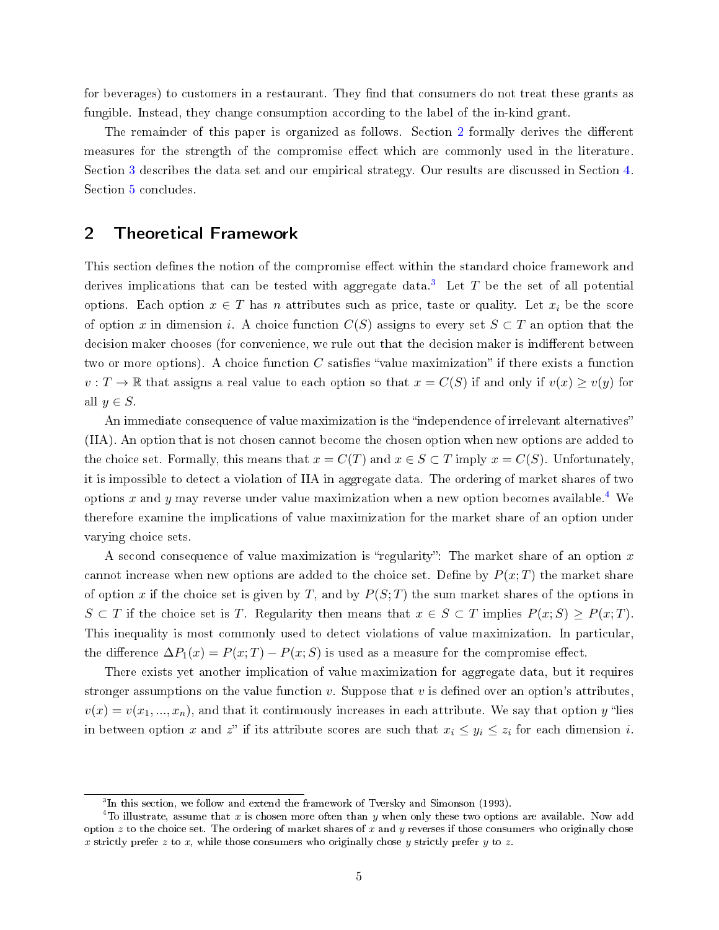for beverages) to customers in a restaurant. They find that consumers do not treat these grants as fungible. Instead, they change consumption according to the label of the in-kind grant.

The remainder of this paper is organized as follows. Section [2](#page-6-0) formally derives the different measures for the strength of the compromise effect which are commonly used in the literature. Section [3](#page-7-0) describes the data set and our empirical strategy. Our results are discussed in Section [4.](#page-13-0) Section [5](#page-18-0) concludes.

#### <span id="page-6-0"></span>2 Theoretical Framework

This section defines the notion of the compromise effect within the standard choice framework and derives implications that can be tested with aggregate data.<sup>[3](#page-6-1)</sup> Let T be the set of all potential options. Each option  $x \in T$  has n attributes such as price, taste or quality. Let  $x_i$  be the score of option x in dimension i. A choice function  $C(S)$  assigns to every set  $S \subset T$  an option that the decision maker chooses (for convenience, we rule out that the decision maker is indifferent between two or more options). A choice function  $C$  satisfies "value maximization" if there exists a function  $v: T \to \mathbb{R}$  that assigns a real value to each option so that  $x = C(S)$  if and only if  $v(x) \ge v(y)$  for all  $y \in S$ .

An immediate consequence of value maximization is the "independence of irrelevant alternatives" (IIA). An option that is not chosen cannot become the chosen option when new options are added to the choice set. Formally, this means that  $x = C(T)$  and  $x \in S \subset T$  imply  $x = C(S)$ . Unfortunately, it is impossible to detect a violation of IIA in aggregate data. The ordering of market shares of two options x and y may reverse under value maximization when a new option becomes available.<sup>[4](#page-6-2)</sup> We therefore examine the implications of value maximization for the market share of an option under varying choice sets.

A second consequence of value maximization is "regularity": The market share of an option x cannot increase when new options are added to the choice set. Define by  $P(x;T)$  the market share of option x if the choice set is given by T, and by  $P(S;T)$  the sum market shares of the options in  $S \subset T$  if the choice set is T. Regularity then means that  $x \in S \subset T$  implies  $P(x;S) \geq P(x;T)$ . This inequality is most commonly used to detect violations of value maximization. In particular, the difference  $\Delta P_1(x) = P(x;T) - P(x;S)$  is used as a measure for the compromise effect.

There exists yet another implication of value maximization for aggregate data, but it requires stronger assumptions on the value function  $v$ . Suppose that  $v$  is defined over an option's attributes,  $v(x) = v(x_1, ..., x_n)$ , and that it continuously increases in each attribute. We say that option y "lies in between option x and z" if its attribute scores are such that  $x_i \leq y_i \leq z_i$  for each dimension i.

<span id="page-6-2"></span><span id="page-6-1"></span><sup>&</sup>lt;sup>3</sup>In this section, we follow and extend the framework of Tversky and Simonson (1993).

<sup>&</sup>lt;sup>4</sup>To illustrate, assume that x is chosen more often than y when only these two options are available. Now add option  $z$  to the choice set. The ordering of market shares of  $x$  and  $y$  reverses if those consumers who originally chose x strictly prefer z to x, while those consumers who originally chose y strictly prefer y to z.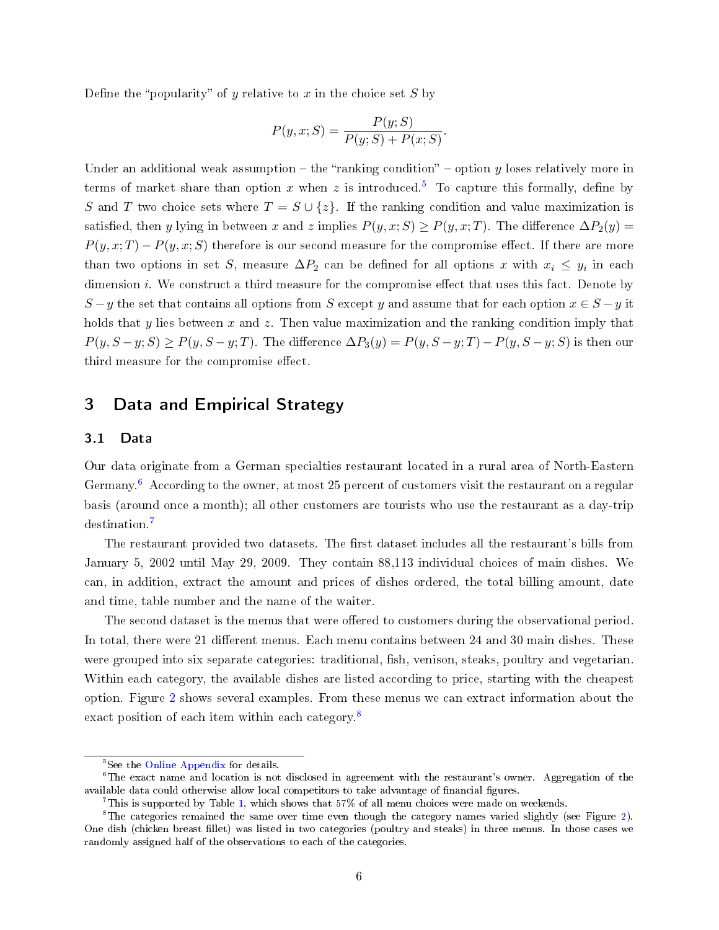Define the "popularity" of y relative to x in the choice set  $S$  by

$$
P(y, x; S) = \frac{P(y; S)}{P(y; S) + P(x; S)}
$$

.

Under an additional weak assumption  $-$  the "ranking condition"  $-$  option y loses relatively more in terms of market share than option x when z is introduced.<sup>[5](#page-7-1)</sup> To capture this formally, define by S and T two choice sets where  $T = S \cup \{z\}$ . If the ranking condition and value maximization is satisfied, then y lying in between x and z implies  $P(y, x; S) \geq P(y, x; T)$ . The difference  $\Delta P_2(y)$  $P(y, x; T) - P(y, x; S)$  therefore is our second measure for the compromise effect. If there are more than two options in set S, measure  $\Delta P_2$  can be defined for all options x with  $x_i \leq y_i$  in each dimension  $i$ . We construct a third measure for the compromise effect that uses this fact. Denote by  $S - y$  the set that contains all options from S except y and assume that for each option  $x \in S - y$  it holds that  $y$  lies between  $x$  and  $z$ . Then value maximization and the ranking condition imply that  $P(y, S - y; S) \ge P(y, S - y; T)$ . The difference  $\Delta P_3(y) = P(y, S - y; T) - P(y, S - y; S)$  is then our third measure for the compromise effect.

### <span id="page-7-0"></span>3 Data and Empirical Strategy

#### 3.1 Data

Our data originate from a German specialties restaurant located in a rural area of North-Eastern Germany.<sup>[6](#page-7-2)</sup> According to the owner, at most 25 percent of customers visit the restaurant on a regular basis (around once a month); all other customers are tourists who use the restaurant as a day-trip destination.[7](#page-7-3)

The restaurant provided two datasets. The first dataset includes all the restaurant's bills from January 5, 2002 until May 29, 2009. They contain 88,113 individual choices of main dishes. We can, in addition, extract the amount and prices of dishes ordered, the total billing amount, date and time, table number and the name of the waiter.

The second dataset is the menus that were offered to customers during the observational period. In total, there were 21 different menus. Each menu contains between 24 and 30 main dishes. These were grouped into six separate categories: traditional, fish, venison, steaks, poultry and vegetarian. Within each category, the available dishes are listed according to price, starting with the cheapest option. Figure [2](#page-8-0) shows several examples. From these menus we can extract information about the exact position of each item within each category.<sup>[8](#page-7-4)</sup>

<span id="page-7-2"></span><span id="page-7-1"></span><sup>&</sup>lt;sup>5</sup>See the [Online Appendix](https://docs.google.com/viewer?a=v&pid=sites&srcid=ZGVmYXVsdGRvbWFpbnxwaWFwaW5nZXJ8Z3g6NGE1NjFiMGE2NTVjYzAyMw) for details.

 $6$ The exact name and location is not disclosed in agreement with the restaurant's owner. Aggregation of the available data could otherwise allow local competitors to take advantage of financial figures.

<span id="page-7-4"></span><span id="page-7-3"></span><sup>7</sup>This is supported by Table [1,](#page-22-0) which shows that 57% of all menu choices were made on weekends.

 ${}^8$ The categories remained the same over time even though the category names varied slightly (see Figure [2\)](#page-8-0). One dish (chicken breast llet) was listed in two categories (poultry and steaks) in three menus. In those cases we randomly assigned half of the observations to each of the categories.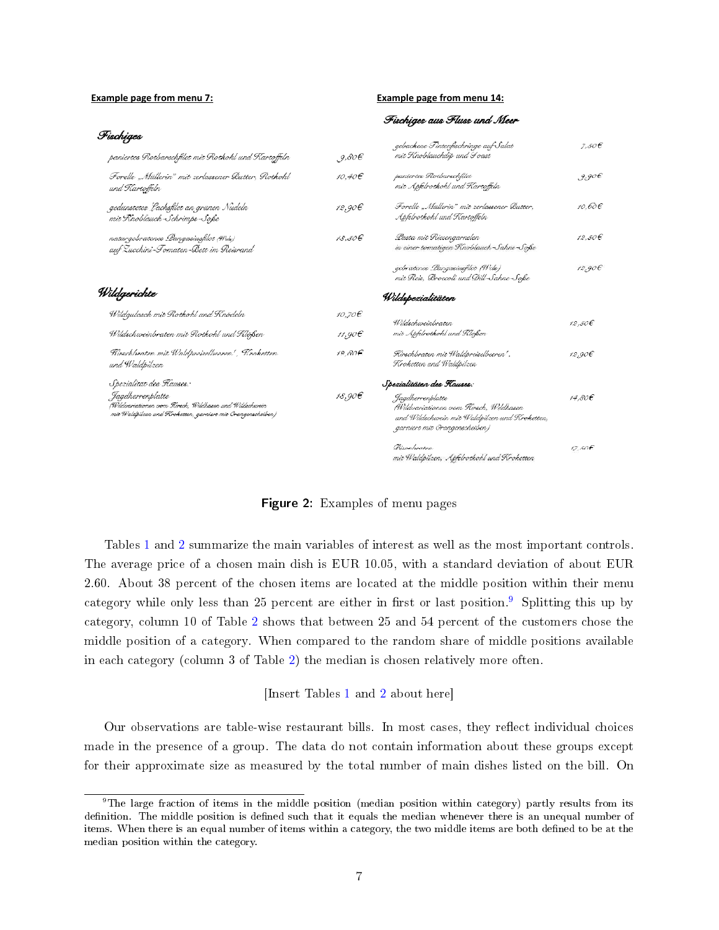#### <span id="page-8-0"></span>**Example page from menu 7: Example page from menu 14:**

|                                                                                                                                            |         | Fischiges aus Fluss und Meer                                                                                                                 |        |
|--------------------------------------------------------------------------------------------------------------------------------------------|---------|----------------------------------------------------------------------------------------------------------------------------------------------|--------|
| Fischiges                                                                                                                                  |         | gebackene Tintenfischringe auf Salat                                                                                                         | 7.50E  |
| paniertes Rotbarschfilet mit Rotkohl und Kartoffeln                                                                                        | .9,80E  | mit Knoblauchdip und I oast                                                                                                                  |        |
| Forelle "Müllerin" mit zerlassener Butter, Rotkohl<br>und Kartoffeln                                                                       | 10,40€  | paniertes Rotbarschfilet<br>mit Apfelrotkohl und Kartoffeln                                                                                  | 9,906  |
| gedünstetes Lachsfilet an grünen Nudeln<br>mit Knoblauch-Schrimps-Soße                                                                     | 12,90€  | Forelle "Müllerin" mit zerlassener Butter,<br>Apfelrotkohl und Kartoffeln                                                                    | 10.60€ |
| naturgebratenes Langasiusfilet (Wels)<br>auf Zucchini-Tomaten-Bett im Reisrand                                                             | 18.50€  | Lasta mit Riesengarnelen<br>in einer tomatigen Knoblauch-Sahne-Soße                                                                          | 12,50€ |
|                                                                                                                                            |         | gebratence Pangasiusfilet (Wels)<br>mit Reis, Broccoli und Dill-Sahne-Soße                                                                   | 12,90E |
| Wildgerichte                                                                                                                               |         | Wildspezialitäten                                                                                                                            |        |
| Wildgulasch mit Rotkohl und Knödeln                                                                                                        | 10,70€  | Wildschweinbraten                                                                                                                            | 12,50€ |
| Wildschweinbraten mit Rotkohl und Klößen                                                                                                   | 11,90€  | mit Apfelrotkohl und Klößen                                                                                                                  |        |
| Fürschloraten mit Waldpreisellseeren', Kroketten<br>und Waldpilzen                                                                         | 12.80€  | Fürschbraten mit Waldpreiselbeeren' ,<br>Kroketten und Waldpilzen                                                                            | 12,90€ |
| Spezialität des Kauses:                                                                                                                    |         | Spezialitäten des Flauses:                                                                                                                   |        |
| Jagdherrenplatte<br>(Wilderariationen vom Rirech, Wildhasen und Wildechwein<br>mit Waldpilzen und Kroketten, garniert mit Orangenacheiben) | 18,90 E | Jagdherrenplatte<br>(Wildvariationen vom Rirsch, Wildhasen<br>und Wildschwein mit Waldpilzen und Kroketten,<br>garniere mic Orangenscheiben) | 14.80€ |
|                                                                                                                                            |         | Bisonbraten<br>mit Waldpilzen, Apfelrotkohl und Kroketten                                                                                    | 17,50€ |

Figure 2: Examples of menu pages

Tables [1](#page-22-0) and [2](#page-22-1) summarize the main variables of interest as well as the most important controls. The average price of a chosen main dish is EUR 10.05, with a standard deviation of about EUR 2.60. About 38 percent of the chosen items are located at the middle position within their menu category while only less than 25 percent are either in first or last position.<sup>[9](#page-8-1)</sup> Splitting this up by category, column 10 of Table [2](#page-22-1) shows that between 25 and 54 percent of the customers chose the middle position of a category. When compared to the random share of middle positions available in each category (column 3 of Table [2\)](#page-22-1) the median is chosen relatively more often.

#### [Insert Tables [1](#page-22-0) and [2](#page-22-1) about here]

Our observations are table-wise restaurant bills. In most cases, they reflect individual choices made in the presence of a group. The data do not contain information about these groups except for their approximate size as measured by the total number of main dishes listed on the bill. On

<span id="page-8-1"></span><sup>9</sup>The large fraction of items in the middle position (median position within category) partly results from its definition. The middle position is defined such that it equals the median whenever there is an unequal number of items. When there is an equal number of items within a category, the two middle items are both defined to be at the median position within the category.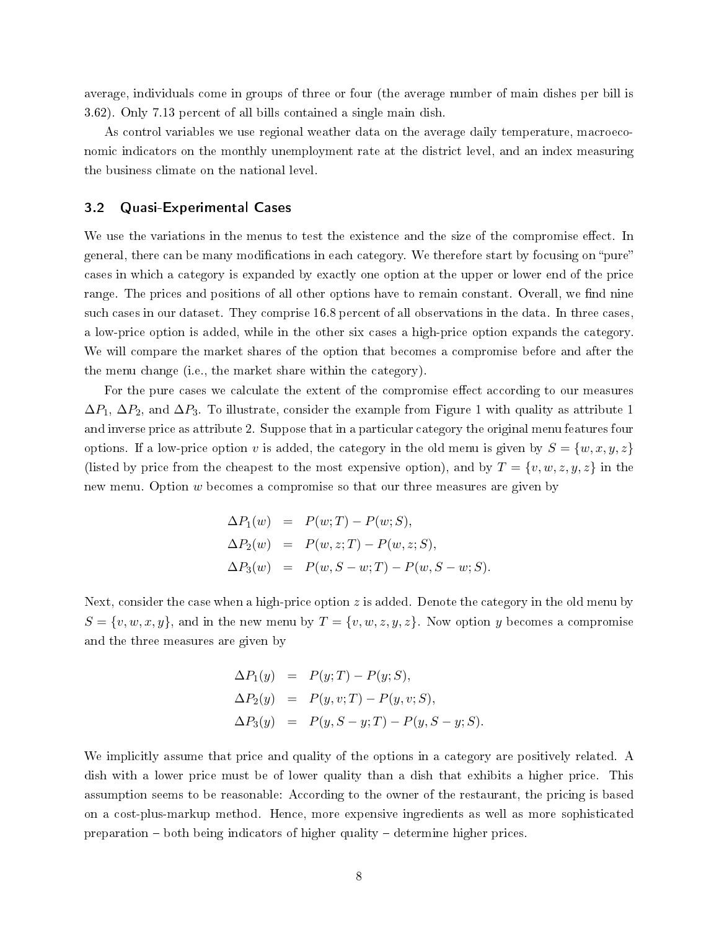average, individuals come in groups of three or four (the average number of main dishes per bill is 3.62). Only 7.13 percent of all bills contained a single main dish.

As control variables we use regional weather data on the average daily temperature, macroeconomic indicators on the monthly unemployment rate at the district level, and an index measuring the business climate on the national level.

#### <span id="page-9-0"></span>3.2 Quasi-Experimental Cases

We use the variations in the menus to test the existence and the size of the compromise effect. In general, there can be many modifications in each category. We therefore start by focusing on "pure" cases in which a category is expanded by exactly one option at the upper or lower end of the price range. The prices and positions of all other options have to remain constant. Overall, we find nine such cases in our dataset. They comprise 16.8 percent of all observations in the data. In three cases, a low-price option is added, while in the other six cases a high-price option expands the category. We will compare the market shares of the option that becomes a compromise before and after the the menu change (i.e., the market share within the category).

For the pure cases we calculate the extent of the compromise effect according to our measures  $\Delta P_1$ ,  $\Delta P_2$ , and  $\Delta P_3$ . To illustrate, consider the example from Figure 1 with quality as attribute 1 and inverse price as attribute 2. Suppose that in a particular category the original menu features four options. If a low-price option v is added, the category in the old menu is given by  $S = \{w, x, y, z\}$ (listed by price from the cheapest to the most expensive option), and by  $T = \{v, w, z, y, z\}$  in the new menu. Option w becomes a compromise so that our three measures are given by

$$
\Delta P_1(w) = P(w;T) - P(w;S), \n\Delta P_2(w) = P(w, z;T) - P(w, z;S), \n\Delta P_3(w) = P(w, S - w;T) - P(w, S - w;S).
$$

Next, consider the case when a high-price option  $z$  is added. Denote the category in the old menu by  $S = \{v, w, x, y\}$ , and in the new menu by  $T = \{v, w, z, y, z\}$ . Now option y becomes a compromise and the three measures are given by

$$
\Delta P_1(y) = P(y;T) - P(y;S), \n\Delta P_2(y) = P(y, v;T) - P(y, v;S), \n\Delta P_3(y) = P(y, S - y;T) - P(y, S - y;S).
$$

We implicitly assume that price and quality of the options in a category are positively related. A dish with a lower price must be of lower quality than a dish that exhibits a higher price. This assumption seems to be reasonable: According to the owner of the restaurant, the pricing is based on a cost-plus-markup method. Hence, more expensive ingredients as well as more sophisticated preparation both being indicators of higher quality determine higher prices.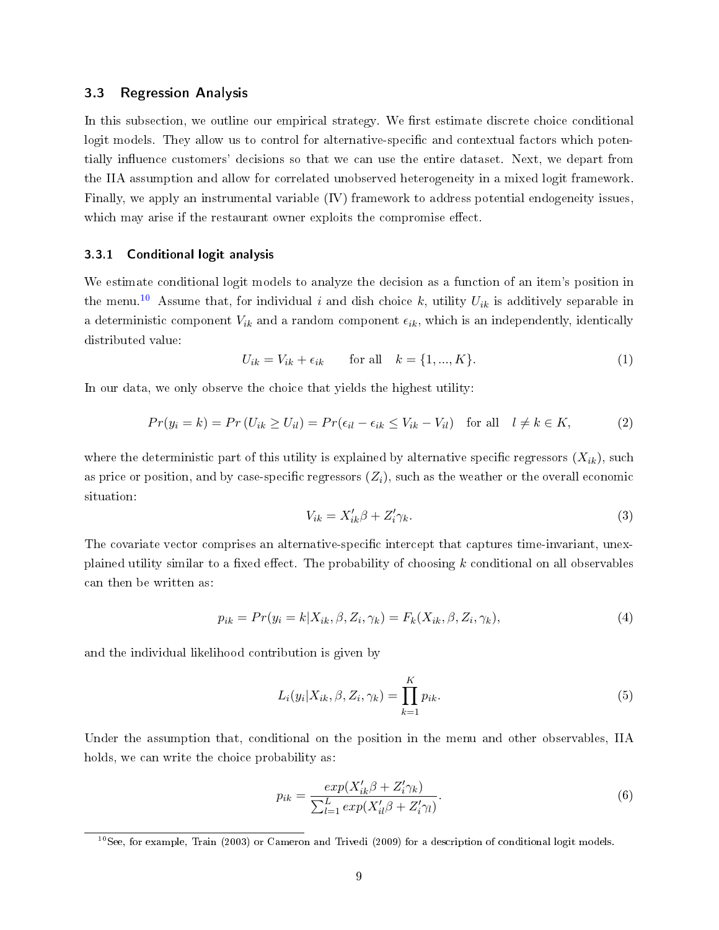#### 3.3 Regression Analysis

In this subsection, we outline our empirical strategy. We first estimate discrete choice conditional logit models. They allow us to control for alternative-specific and contextual factors which potentially influence customers' decisions so that we can use the entire dataset. Next, we depart from the IIA assumption and allow for correlated unobserved heterogeneity in a mixed logit framework. Finally, we apply an instrumental variable (IV) framework to address potential endogeneity issues, which may arise if the restaurant owner exploits the compromise effect.

#### 3.3.1 Conditional logit analysis

We estimate conditional logit models to analyze the decision as a function of an item's position in the menu.<sup>[10](#page-10-0)</sup> Assume that, for individual i and dish choice k, utility  $U_{ik}$  is additively separable in a deterministic component  $V_{ik}$  and a random component  $\epsilon_{ik}$ , which is an independently, identically distributed value:

$$
U_{ik} = V_{ik} + \epsilon_{ik} \qquad \text{for all} \quad k = \{1, ..., K\}.
$$
 (1)

In our data, we only observe the choice that yields the highest utility:

$$
Pr(y_i = k) = Pr(U_{ik} \ge U_{il}) = Pr(\epsilon_{il} - \epsilon_{ik} \le V_{ik} - V_{il}) \text{ for all } l \ne k \in K,
$$
 (2)

where the deterministic part of this utility is explained by alternative specific regressors  $(X_{ik})$ , such as price or position, and by case-specific regressors  $(Z_i)$ , such as the weather or the overall economic situation:

$$
V_{ik} = X'_{ik}\beta + Z'_i\gamma_k. \tag{3}
$$

The covariate vector comprises an alternative-specific intercept that captures time-invariant, unexplained utility similar to a fixed effect. The probability of choosing  $k$  conditional on all observables can then be written as:

$$
p_{ik} = Pr(y_i = k | X_{ik}, \beta, Z_i, \gamma_k) = F_k(X_{ik}, \beta, Z_i, \gamma_k),
$$
\n
$$
\tag{4}
$$

and the individual likelihood contribution is given by

$$
L_i(y_i|X_{ik}, \beta, Z_i, \gamma_k) = \prod_{k=1}^K p_{ik}.
$$
\n
$$
(5)
$$

Under the assumption that, conditional on the position in the menu and other observables, IIA holds, we can write the choice probability as:

$$
p_{ik} = \frac{exp(X'_{ik}\beta + Z'_i\gamma_k)}{\sum_{l=1}^{L} exp(X'_{il}\beta + Z'_i\gamma_l)}.
$$
\n
$$
(6)
$$

<span id="page-10-0"></span><sup>&</sup>lt;sup>10</sup>See, for example, Train (2003) or Cameron and Trivedi (2009) for a description of conditional logit models.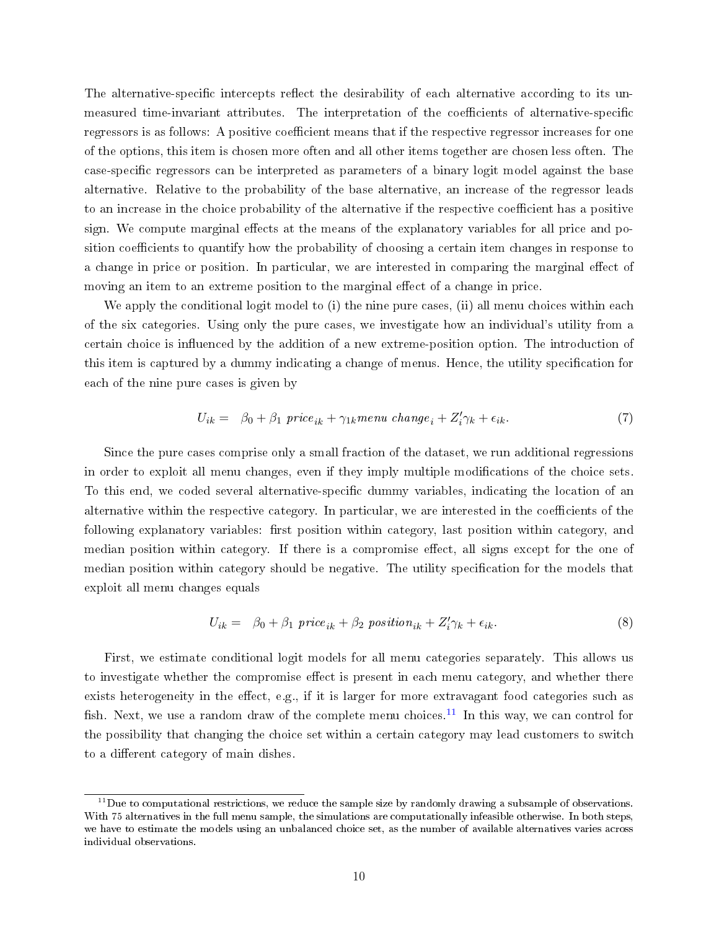The alternative-specific intercepts reflect the desirability of each alternative according to its unmeasured time-invariant attributes. The interpretation of the coefficients of alternative-specific regressors is as follows: A positive coefficient means that if the respective regressor increases for one of the options, this item is chosen more often and all other items together are chosen less often. The case-specific regressors can be interpreted as parameters of a binary logit model against the base alternative. Relative to the probability of the base alternative, an increase of the regressor leads to an increase in the choice probability of the alternative if the respective coefficient has a positive sign. We compute marginal effects at the means of the explanatory variables for all price and position coefficients to quantify how the probability of choosing a certain item changes in response to a change in price or position. In particular, we are interested in comparing the marginal effect of moving an item to an extreme position to the marginal effect of a change in price.

We apply the conditional logit model to (i) the nine pure cases, (ii) all menu choices within each of the six categories. Using only the pure cases, we investigate how an individual's utility from a certain choice is influenced by the addition of a new extreme-position option. The introduction of this item is captured by a dummy indicating a change of menus. Hence, the utility specification for each of the nine pure cases is given by

$$
U_{ik} = \beta_0 + \beta_1 \text{ price}_{ik} + \gamma_{1k} \text{ menu } change_i + Z'_i \gamma_k + \epsilon_{ik}. \tag{7}
$$

Since the pure cases comprise only a small fraction of the dataset, we run additional regressions in order to exploit all menu changes, even if they imply multiple modifications of the choice sets. To this end, we coded several alternative-specific dummy variables, indicating the location of an alternative within the respective category. In particular, we are interested in the coefficients of the following explanatory variables: first position within category, last position within category, and median position within category. If there is a compromise effect, all signs except for the one of median position within category should be negative. The utility specification for the models that exploit all menu changes equals

$$
U_{ik} = \beta_0 + \beta_1 \text{ price}_{ik} + \beta_2 \text{ position}_{ik} + Z_i' \gamma_k + \epsilon_{ik}. \tag{8}
$$

First, we estimate conditional logit models for all menu categories separately. This allows us to investigate whether the compromise effect is present in each menu category, and whether there exists heterogeneity in the effect, e.g., if it is larger for more extravagant food categories such as fish. Next, we use a random draw of the complete menu choices.<sup>[11](#page-11-0)</sup> In this way, we can control for the possibility that changing the choice set within a certain category may lead customers to switch to a different category of main dishes.

<span id="page-11-0"></span> $11$ Due to computational restrictions, we reduce the sample size by randomly drawing a subsample of observations. With 75 alternatives in the full menu sample, the simulations are computationally infeasible otherwise. In both steps, we have to estimate the models using an unbalanced choice set, as the number of available alternatives varies across individual observations.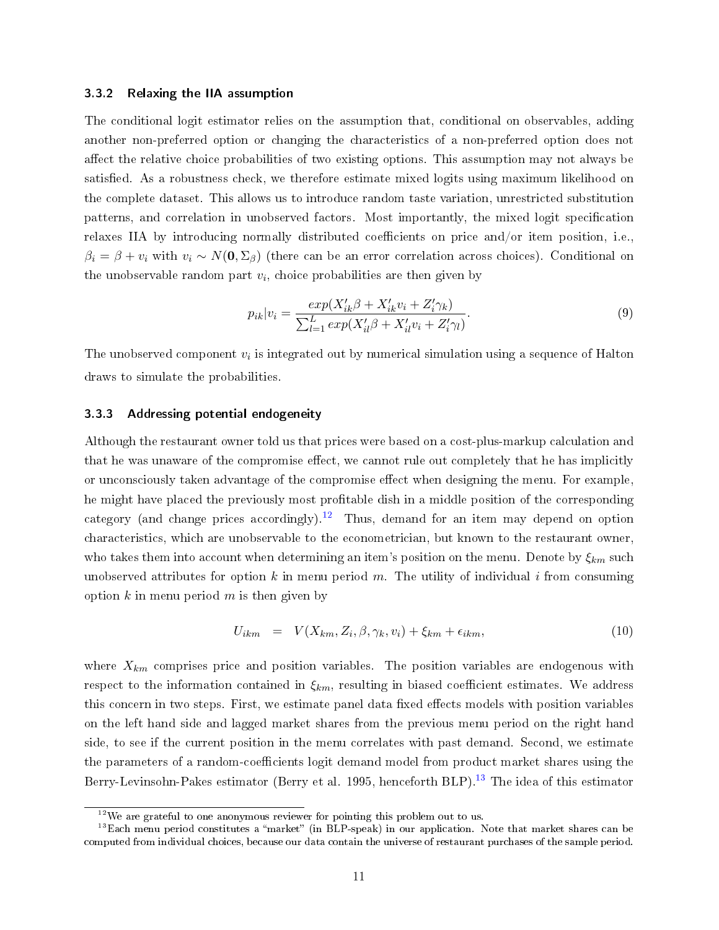#### 3.3.2 Relaxing the IIA assumption

The conditional logit estimator relies on the assumption that, conditional on observables, adding another non-preferred option or changing the characteristics of a non-preferred option does not affect the relative choice probabilities of two existing options. This assumption may not always be satisfied. As a robustness check, we therefore estimate mixed logits using maximum likelihood on the complete dataset. This allows us to introduce random taste variation, unrestricted substitution patterns, and correlation in unobserved factors. Most importantly, the mixed logit specification relaxes IIA by introducing normally distributed coefficients on price and/or item position, i.e.,  $\beta_i = \beta + v_i$  with  $v_i \sim N(0, \Sigma_\beta)$  (there can be an error correlation across choices). Conditional on the unobservable random part  $v_i$ , choice probabilities are then given by

$$
p_{ik}|v_i = \frac{exp(X'_{ik}\beta + X'_{ik}v_i + Z'_i\gamma_k)}{\sum_{l=1}^{L} exp(X'_{il}\beta + X'_{il}v_i + Z'_i\gamma_l)}.
$$
\n(9)

The unobserved component  $v_i$  is integrated out by numerical simulation using a sequence of Halton draws to simulate the probabilities.

#### 3.3.3 Addressing potential endogeneity

Although the restaurant owner told us that prices were based on a cost-plus-markup calculation and that he was unaware of the compromise effect, we cannot rule out completely that he has implicitly or unconsciously taken advantage of the compromise effect when designing the menu. For example, he might have placed the previously most profitable dish in a middle position of the corresponding category (and change prices accordingly).<sup>[12](#page-12-0)</sup> Thus, demand for an item may depend on option characteristics, which are unobservable to the econometrician, but known to the restaurant owner, who takes them into account when determining an item's position on the menu. Denote by  $\xi_{km}$  such unobserved attributes for option k in menu period m. The utility of individual i from consuming option k in menu period m is then given by

$$
U_{ikm} = V(X_{km}, Z_i, \beta, \gamma_k, v_i) + \xi_{km} + \epsilon_{ikm}, \qquad (10)
$$

where  $X_{km}$  comprises price and position variables. The position variables are endogenous with respect to the information contained in  $\xi_{km}$ , resulting in biased coefficient estimates. We address this concern in two steps. First, we estimate panel data fixed effects models with position variables on the left hand side and lagged market shares from the previous menu period on the right hand side, to see if the current position in the menu correlates with past demand. Second, we estimate the parameters of a random-coefficients logit demand model from product market shares using the Berry-Levinsohn-Pakes estimator (Berry et al. 1995, henceforth BLP).<sup>[13](#page-12-1)</sup> The idea of this estimator

<span id="page-12-1"></span><span id="page-12-0"></span> $12$ We are grateful to one anonymous reviewer for pointing this problem out to us.

 $13$ Each menu period constitutes a "market" (in BLP-speak) in our application. Note that market shares can be computed from individual choices, because our data contain the universe of restaurant purchases of the sample period.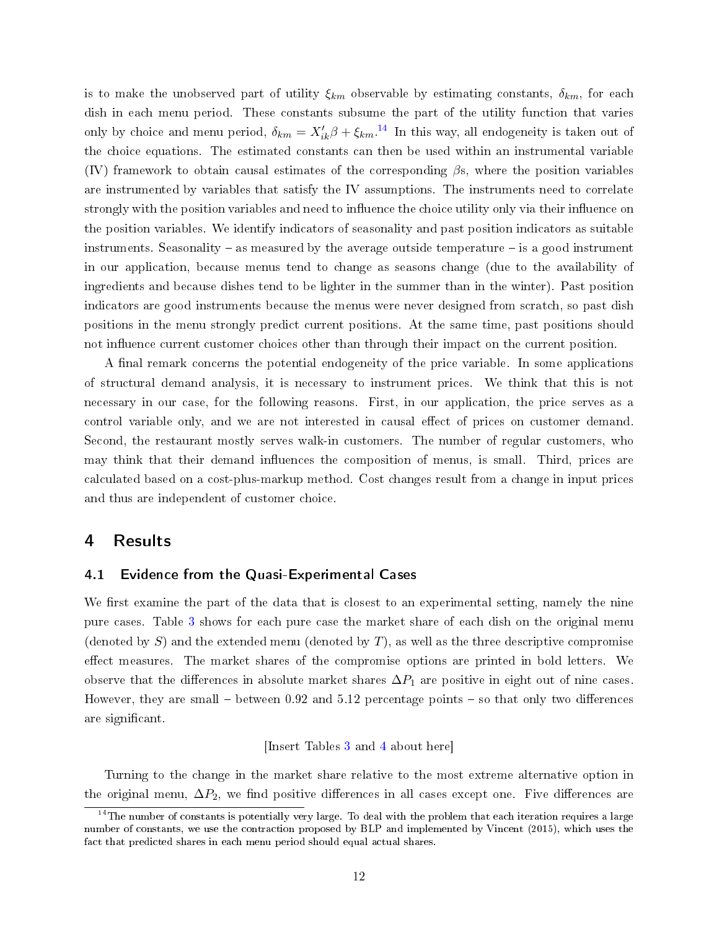is to make the unobserved part of utility  $\xi_{km}$  observable by estimating constants,  $\delta_{km}$ , for each dish in each menu period. These constants subsume the part of the utility function that varies only by choice and menu period,  $\delta_{km} = X'_{ik}\beta + \xi_{km}$ .<sup>[14](#page-13-1)</sup> In this way, all endogeneity is taken out of the choice equations. The estimated constants can then be used within an instrumental variable (IV) framework to obtain causal estimates of the corresponding  $\beta s$ , where the position variables are instrumented by variables that satisfy the IV assumptions. The instruments need to correlate strongly with the position variables and need to influence the choice utility only via their influence on the position variables. We identify indicators of seasonality and past position indicators as suitable instruments. Seasonality – as measured by the average outside temperature – is a good instrument in our application, because menus tend to change as seasons change (due to the availability of ingredients and because dishes tend to be lighter in the summer than in the winter). Past position indicators are good instruments because the menus were never designed from scratch, so past dish positions in the menu strongly predict current positions. At the same time, past positions should not influence current customer choices other than through their impact on the current position.

A final remark concerns the potential endogeneity of the price variable. In some applications of structural demand analysis, it is necessary to instrument prices. We think that this is not necessary in our case, for the following reasons. First, in our application, the price serves as a control variable only, and we are not interested in causal effect of prices on customer demand. Second, the restaurant mostly serves walk-in customers. The number of regular customers, who may think that their demand influences the composition of menus, is small. Third, prices are calculated based on a cost-plus-markup method. Cost changes result from a change in input prices and thus are independent of customer choice.

#### <span id="page-13-0"></span>4 Results

#### 4.1 Evidence from the Quasi-Experimental Cases

We first examine the part of the data that is closest to an experimental setting, namely the nine pure cases. Table [3](#page-23-0) shows for each pure case the market share of each dish on the original menu (denoted by S) and the extended menu (denoted by T), as well as the three descriptive compromise effect measures. The market shares of the compromise options are printed in bold letters. We observe that the differences in absolute market shares  $\Delta P_1$  are positive in eight out of nine cases. However, they are small  $-$  between 0.92 and 5.12 percentage points  $-$  so that only two differences are significant.

#### [Insert Tables [3](#page-23-0) and [4](#page-24-0) about here]

Turning to the change in the market share relative to the most extreme alternative option in the original menu,  $\Delta P_2$ , we find positive differences in all cases except one. Five differences are

<span id="page-13-1"></span> $^{14}$ The number of constants is potentially very large. To deal with the problem that each iteration requires a large number of constants, we use the contraction proposed by BLP and implemented by Vincent (2015), which uses the fact that predicted shares in each menu period should equal actual shares.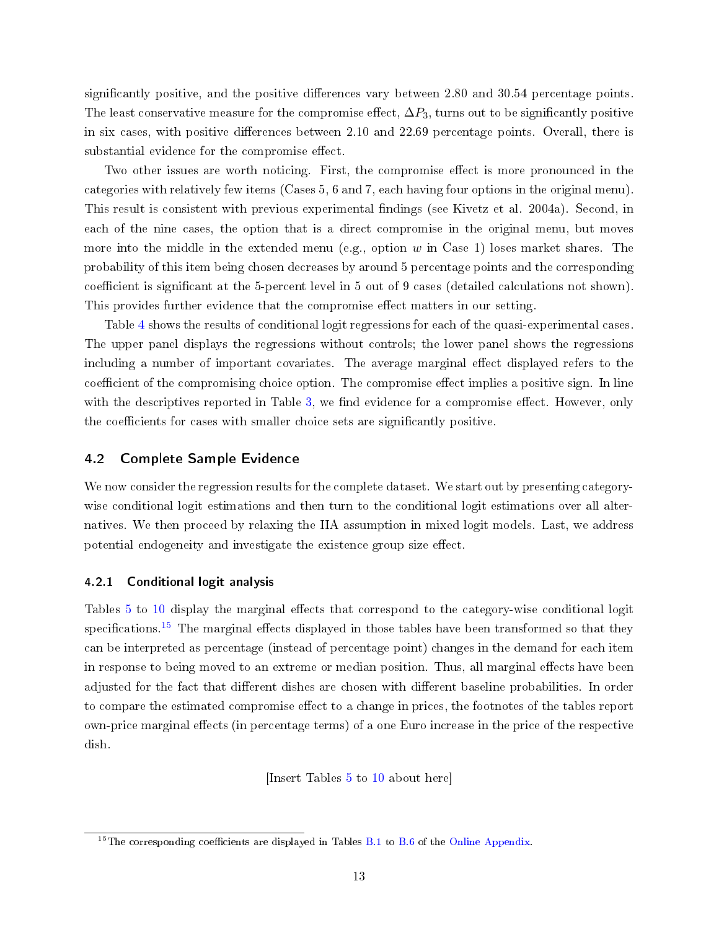significantly positive, and the positive differences vary between 2.80 and 30.54 percentage points. The least conservative measure for the compromise effect,  $\Delta P_3$ , turns out to be significantly positive in six cases, with positive differences between  $2.10$  and  $22.69$  percentage points. Overall, there is substantial evidence for the compromise effect.

Two other issues are worth noticing. First, the compromise effect is more pronounced in the categories with relatively few items (Cases 5, 6 and 7, each having four options in the original menu). This result is consistent with previous experimental findings (see Kivetz et al. 2004a). Second, in each of the nine cases, the option that is a direct compromise in the original menu, but moves more into the middle in the extended menu (e.g., option w in Case 1) loses market shares. The probability of this item being chosen decreases by around 5 percentage points and the corresponding coefficient is significant at the 5-percent level in 5 out of 9 cases (detailed calculations not shown). This provides further evidence that the compromise effect matters in our setting.

Table [4](#page-24-0) shows the results of conditional logit regressions for each of the quasi-experimental cases. The upper panel displays the regressions without controls; the lower panel shows the regressions including a number of important covariates. The average marginal effect displayed refers to the coefficient of the compromising choice option. The compromise effect implies a positive sign. In line with the descriptives reported in Table [3,](#page-23-0) we find evidence for a compromise effect. However, only the coefficients for cases with smaller choice sets are significantly positive.

#### 4.2 Complete Sample Evidence

We now consider the regression results for the complete dataset. We start out by presenting categorywise conditional logit estimations and then turn to the conditional logit estimations over all alternatives. We then proceed by relaxing the IIA assumption in mixed logit models. Last, we address potential endogeneity and investigate the existence group size effect.

#### 4.2.1 Conditional logit analysis

Tables [5](#page-25-0) to [10](#page-30-0) display the marginal effects that correspond to the category-wise conditional logit specifications.<sup>[15](#page-14-0)</sup> The marginal effects displayed in those tables have been transformed so that they can be interpreted as percentage (instead of percentage point) changes in the demand for each item in response to being moved to an extreme or median position. Thus, all marginal effects have been adjusted for the fact that different dishes are chosen with different baseline probabilities. In order to compare the estimated compromise effect to a change in prices, the footnotes of the tables report own-price marginal effects (in percentage terms) of a one Euro increase in the price of the respective dish.

[Insert Tables [5](#page-25-0) to [10](#page-30-0) about here]

<span id="page-14-0"></span><sup>&</sup>lt;sup>15</sup>The corresponding coefficients are displayed in Tables [B.1](#page--1-0) to [B.6](#page-24-0) of the [Online Appendix.](https://docs.google.com/viewer?a=v&pid=sites&srcid=ZGVmYXVsdGRvbWFpbnxwaWFwaW5nZXJ8Z3g6NGE1NjFiMGE2NTVjYzAyMw)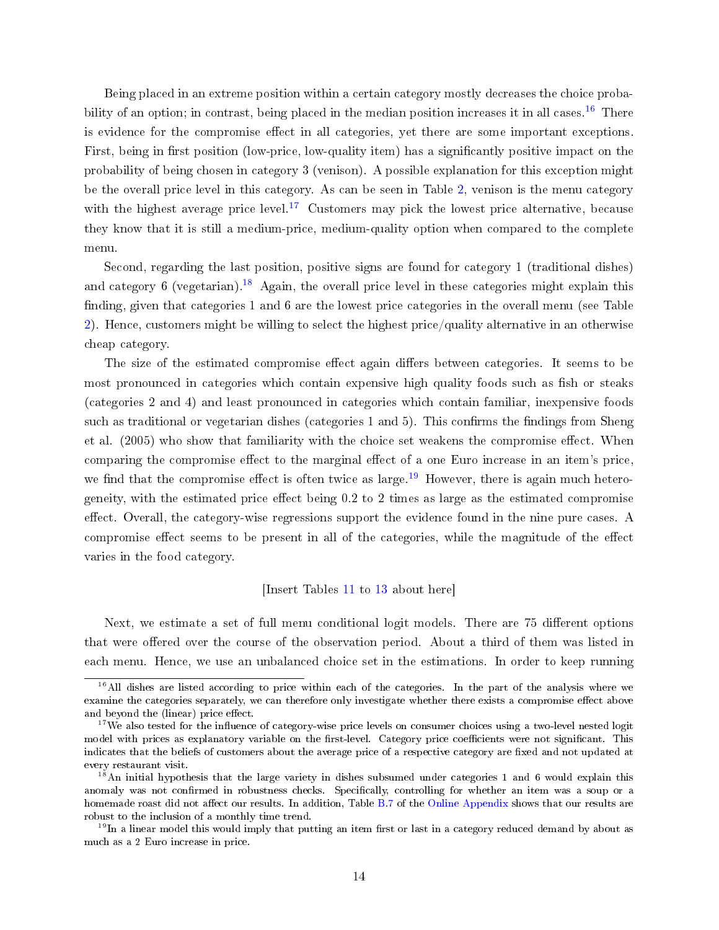Being placed in an extreme position within a certain category mostly decreases the choice proba-bility of an option; in contrast, being placed in the median position increases it in all cases.<sup>[16](#page-15-0)</sup> There is evidence for the compromise effect in all categories, yet there are some important exceptions. First, being in first position (low-price, low-quality item) has a significantly positive impact on the probability of being chosen in category 3 (venison). A possible explanation for this exception might be the overall price level in this category. As can be seen in Table [2,](#page-22-1) venison is the menu category with the highest average price level.<sup>[17](#page-15-1)</sup> Customers may pick the lowest price alternative, because they know that it is still a medium-price, medium-quality option when compared to the complete menu.

Second, regarding the last position, positive signs are found for category 1 (traditional dishes) and category 6 (vegetarian).<sup>[18](#page-15-2)</sup> Again, the overall price level in these categories might explain this finding, given that categories 1 and 6 are the lowest price categories in the overall menu (see Table [2\)](#page-22-1). Hence, customers might be willing to select the highest price/quality alternative in an otherwise cheap category.

The size of the estimated compromise effect again differs between categories. It seems to be most pronounced in categories which contain expensive high quality foods such as fish or steaks (categories 2 and 4) and least pronounced in categories which contain familiar, inexpensive foods such as traditional or vegetarian dishes (categories 1 and 5). This confirms the findings from Sheng et al.  $(2005)$  who show that familiarity with the choice set weakens the compromise effect. When comparing the compromise effect to the marginal effect of a one Euro increase in an item's price, we find that the compromise effect is often twice as large.<sup>[19](#page-15-3)</sup> However, there is again much heterogeneity, with the estimated price effect being  $0.2$  to 2 times as large as the estimated compromise effect. Overall, the category-wise regressions support the evidence found in the nine pure cases. A compromise effect seems to be present in all of the categories, while the magnitude of the effect varies in the food category.

#### [Insert Tables [11](#page-31-0) to [13](#page-33-0) about here]

Next, we estimate a set of full menu conditional logit models. There are 75 different options that were offered over the course of the observation period. About a third of them was listed in each menu. Hence, we use an unbalanced choice set in the estimations. In order to keep running

<span id="page-15-0"></span> $16$ All dishes are listed according to price within each of the categories. In the part of the analysis where we examine the categories separately, we can therefore only investigate whether there exists a compromise effect above and beyond the (linear) price effect.

<span id="page-15-1"></span><sup>&</sup>lt;sup>17</sup>We also tested for the influence of category-wise price levels on consumer choices using a two-level nested logit model with prices as explanatory variable on the first-level. Category price coefficients were not significant. This indicates that the beliefs of customers about the average price of a respective category are fixed and not updated at every restaurant visit.

<span id="page-15-2"></span><sup>&</sup>lt;sup>18</sup>An initial hypothesis that the large variety in dishes subsumed under categories 1 and 6 would explain this anomaly was not confirmed in robustness checks. Specifically, controlling for whether an item was a soup or a homemade roast did not affect our results. In addition, Table [B.7](#page-25-0) of the [Online Appendix](https://docs.google.com/viewer?a=v&pid=sites&srcid=ZGVmYXVsdGRvbWFpbnxwaWFwaW5nZXJ8Z3g6NGE1NjFiMGE2NTVjYzAyMw) shows that our results are robust to the inclusion of a monthly time trend.

<span id="page-15-3"></span> $19$ In a linear model this would imply that putting an item first or last in a category reduced demand by about as much as a 2 Euro increase in price.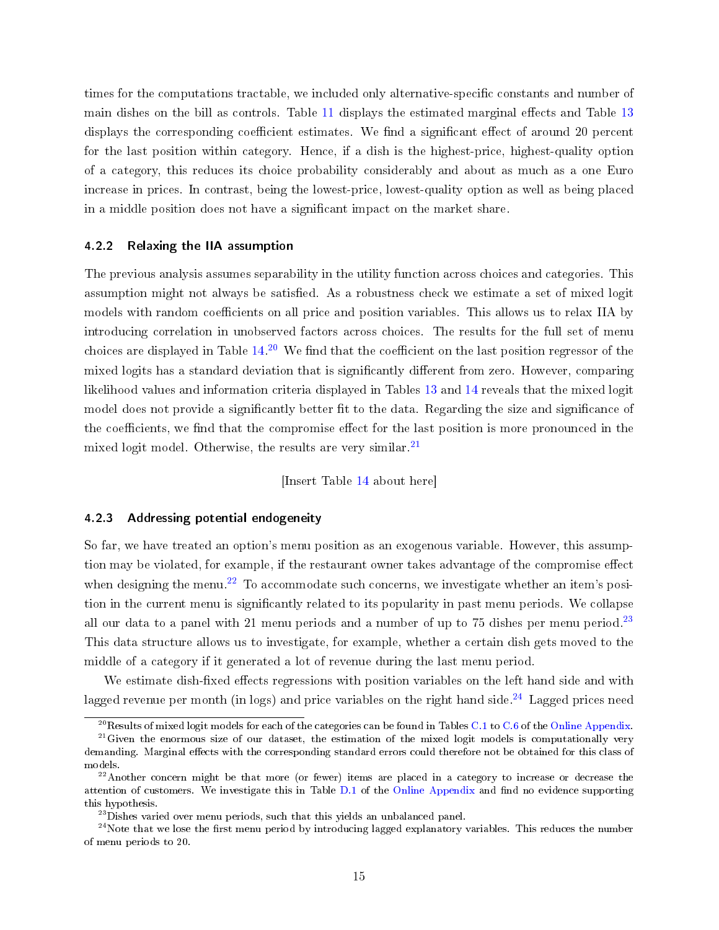times for the computations tractable, we included only alternative-specific constants and number of main dishes on the bill as controls. Table [11](#page-31-0) displays the estimated marginal effects and Table [13](#page-33-0) displays the corresponding coefficient estimates. We find a significant effect of around 20 percent for the last position within category. Hence, if a dish is the highest-price, highest-quality option of a category, this reduces its choice probability considerably and about as much as a one Euro increase in prices. In contrast, being the lowest-price, lowest-quality option as well as being placed in a middle position does not have a signicant impact on the market share.

#### 4.2.2 Relaxing the IIA assumption

The previous analysis assumes separability in the utility function across choices and categories. This assumption might not always be satisfied. As a robustness check we estimate a set of mixed logit models with random coefficients on all price and position variables. This allows us to relax IIA by introducing correlation in unobserved factors across choices. The results for the full set of menu choices are displayed in Table  $14.^{20}$  $14.^{20}$  $14.^{20}$  $14.^{20}$  We find that the coefficient on the last position regressor of the mixed logits has a standard deviation that is significantly different from zero. However, comparing likelihood values and information criteria displayed in Tables [13](#page-33-0) and [14](#page-33-1) reveals that the mixed logit model does not provide a significantly better fit to the data. Regarding the size and significance of the coefficients, we find that the compromise effect for the last position is more pronounced in the mixed logit model. Otherwise, the results are very similar. $^{21}$  $^{21}$  $^{21}$ 

[Insert Table [14](#page-33-1) about here]

#### 4.2.3 Addressing potential endogeneity

So far, we have treated an option's menu position as an exogenous variable. However, this assumption may be violated, for example, if the restaurant owner takes advantage of the compromise effect when designing the menu.<sup>[22](#page-16-2)</sup> To accommodate such concerns, we investigate whether an item's position in the current menu is signicantly related to its popularity in past menu periods. We collapse all our data to a panel with 21 menu periods and a number of up to 75 dishes per menu period.<sup>[23](#page-16-3)</sup> This data structure allows us to investigate, for example, whether a certain dish gets moved to the middle of a category if it generated a lot of revenue during the last menu period.

We estimate dish-fixed effects regressions with position variables on the left hand side and with lagged revenue per month (in logs) and price variables on the right hand side.<sup>[24](#page-16-4)</sup> Lagged prices need

<span id="page-16-1"></span><span id="page-16-0"></span> $^{20}$ Results of mixed logit models for each of the categories can be found in Tables [C.1](#page-26-0) to [C.6](#page-31-0) of the [Online Appendix.](https://docs.google.com/viewer?a=v&pid=sites&srcid=ZGVmYXVsdGRvbWFpbnxwaWFwaW5nZXJ8Z3g6NGE1NjFiMGE2NTVjYzAyMw)

 $21$  Given the enormous size of our dataset, the estimation of the mixed logit models is computationally very demanding. Marginal effects with the corresponding standard errors could therefore not be obtained for this class of models.

<span id="page-16-2"></span> $^{22}$ Another concern might be that more (or fewer) items are placed in a category to increase or decrease the attention of customers. We investigate this in Table [D.1](#page-32-0) of the [Online Appendix](https://docs.google.com/viewer?a=v&pid=sites&srcid=ZGVmYXVsdGRvbWFpbnxwaWFwaW5nZXJ8Z3g6NGE1NjFiMGE2NTVjYzAyMw) and find no evidence supporting this hypothesis.

<span id="page-16-4"></span><span id="page-16-3"></span><sup>&</sup>lt;sup>23</sup>Dishes varied over menu periods, such that this yields an unbalanced panel.

 $^{24}$ Note that we lose the first menu period by introducing lagged explanatory variables. This reduces the number of menu periods to 20.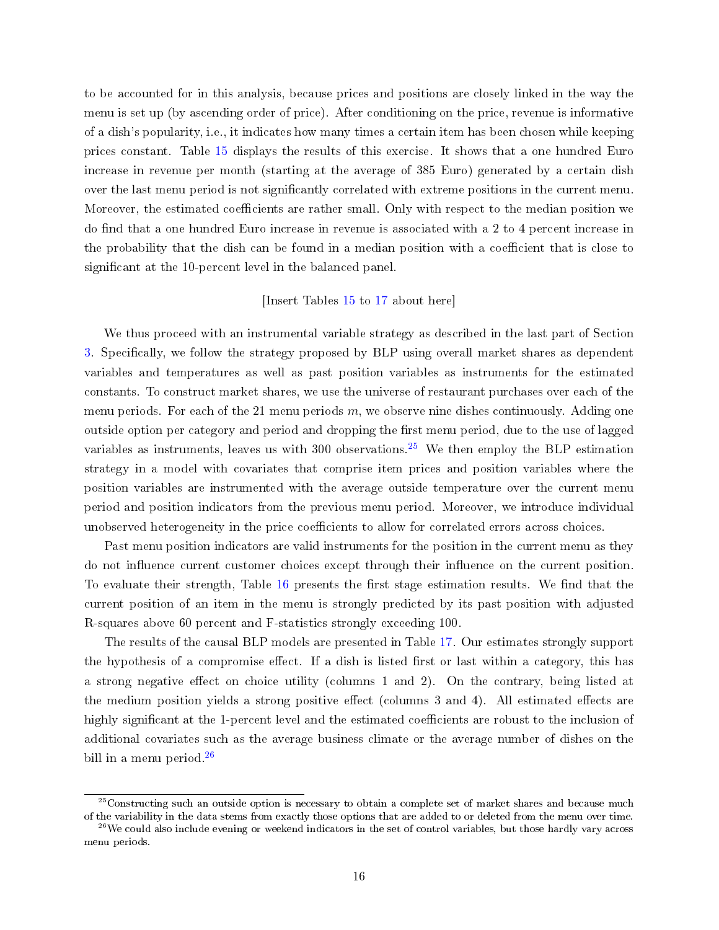to be accounted for in this analysis, because prices and positions are closely linked in the way the menu is set up (by ascending order of price). After conditioning on the price, revenue is informative of a dish's popularity, i.e., it indicates how many times a certain item has been chosen while keeping prices constant. Table [15](#page-34-0) displays the results of this exercise. It shows that a one hundred Euro increase in revenue per month (starting at the average of 385 Euro) generated by a certain dish over the last menu period is not significantly correlated with extreme positions in the current menu. Moreover, the estimated coefficients are rather small. Only with respect to the median position we do find that a one hundred Euro increase in revenue is associated with a 2 to 4 percent increase in the probability that the dish can be found in a median position with a coefficient that is close to significant at the 10-percent level in the balanced panel.

#### [Insert Tables [15](#page-34-0) to [17](#page-35-0) about here]

We thus proceed with an instrumental variable strategy as described in the last part of Section [3.](#page-7-0) Specifically, we follow the strategy proposed by BLP using overall market shares as dependent variables and temperatures as well as past position variables as instruments for the estimated constants. To construct market shares, we use the universe of restaurant purchases over each of the menu periods. For each of the 21 menu periods  $m$ , we observe nine dishes continuously. Adding one outside option per category and period and dropping the first menu period, due to the use of lagged variables as instruments, leaves us with 300 observations.<sup>[25](#page-17-0)</sup> We then employ the BLP estimation strategy in a model with covariates that comprise item prices and position variables where the position variables are instrumented with the average outside temperature over the current menu period and position indicators from the previous menu period. Moreover, we introduce individual unobserved heterogeneity in the price coefficients to allow for correlated errors across choices.

Past menu position indicators are valid instruments for the position in the current menu as they do not influence current customer choices except through their influence on the current position. To evaluate their strength, Table  $16$  presents the first stage estimation results. We find that the current position of an item in the menu is strongly predicted by its past position with adjusted R-squares above 60 percent and F-statistics strongly exceeding 100.

The results of the causal BLP models are presented in Table [17.](#page-35-0) Our estimates strongly support the hypothesis of a compromise effect. If a dish is listed first or last within a category, this has a strong negative effect on choice utility (columns 1 and 2). On the contrary, being listed at the medium position yields a strong positive effect (columns 3 and 4). All estimated effects are highly significant at the 1-percent level and the estimated coefficients are robust to the inclusion of additional covariates such as the average business climate or the average number of dishes on the bill in a menu period.<sup>[26](#page-17-1)</sup>

<span id="page-17-0"></span><sup>&</sup>lt;sup>25</sup>Constructing such an outside option is necessary to obtain a complete set of market shares and because much of the variability in the data stems from exactly those options that are added to or deleted from the menu over time.

<span id="page-17-1"></span> $^{26}$ We could also include evening or weekend indicators in the set of control variables, but those hardly vary across menu periods.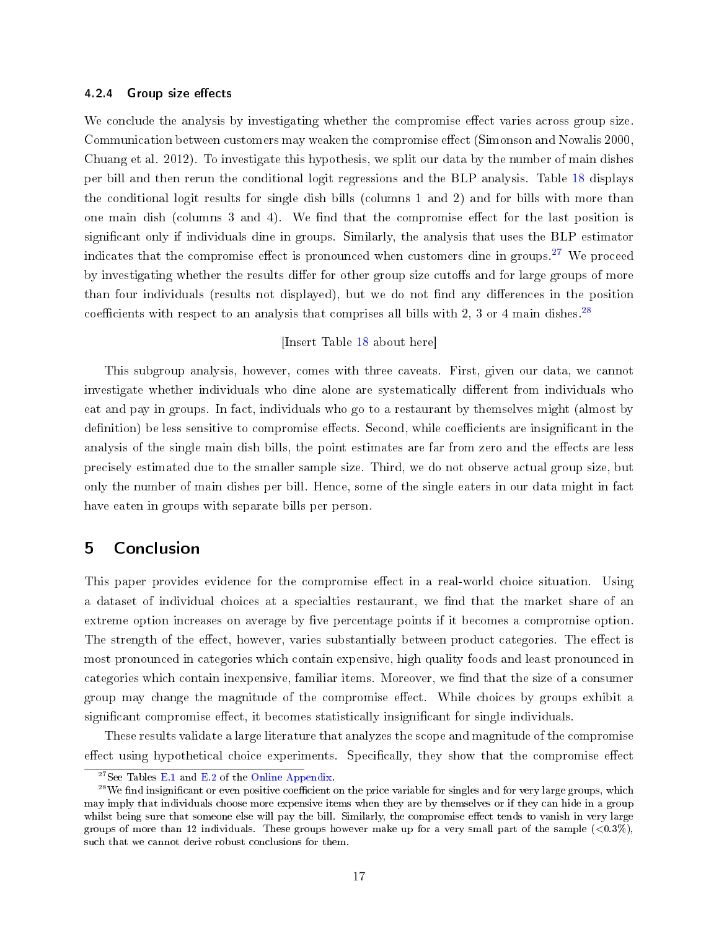#### 4.2.4 Group size effects

We conclude the analysis by investigating whether the compromise effect varies across group size. Communication between customers may weaken the compromise effect (Simonson and Nowalis 2000, Chuang et al. 2012). To investigate this hypothesis, we split our data by the number of main dishes per bill and then rerun the conditional logit regressions and the BLP analysis. Table [18](#page-35-1) displays the conditional logit results for single dish bills (columns 1 and 2) and for bills with more than one main dish (columns 3 and 4). We find that the compromise effect for the last position is significant only if individuals dine in groups. Similarly, the analysis that uses the BLP estimator indicates that the compromise effect is pronounced when customers dine in groups.<sup>[27](#page-18-1)</sup> We proceed by investigating whether the results differ for other group size cutoffs and for large groups of more than four individuals (results not displayed), but we do not find any differences in the position coefficients with respect to an analysis that comprises all bills with 2, 3 or 4 main dishes.<sup>[28](#page-18-2)</sup>

#### [Insert Table [18](#page-35-1) about here]

This subgroup analysis, however, comes with three caveats. First, given our data, we cannot investigate whether individuals who dine alone are systematically different from individuals who eat and pay in groups. In fact, individuals who go to a restaurant by themselves might (almost by definition) be less sensitive to compromise effects. Second, while coefficients are insignificant in the analysis of the single main dish bills, the point estimates are far from zero and the effects are less precisely estimated due to the smaller sample size. Third, we do not observe actual group size, but only the number of main dishes per bill. Hence, some of the single eaters in our data might in fact have eaten in groups with separate bills per person.

### <span id="page-18-0"></span>5 Conclusion

This paper provides evidence for the compromise effect in a real-world choice situation. Using a dataset of individual choices at a specialties restaurant, we find that the market share of an extreme option increases on average by five percentage points if it becomes a compromise option. The strength of the effect, however, varies substantially between product categories. The effect is most pronounced in categories which contain expensive, high quality foods and least pronounced in categories which contain inexpensive, familiar items. Moreover, we find that the size of a consumer group may change the magnitude of the compromise effect. While choices by groups exhibit a significant compromise effect, it becomes statistically insignificant for single individuals.

These results validate a large literature that analyzes the scope and magnitude of the compromise effect using hypothetical choice experiments. Specifically, they show that the compromise effect

<span id="page-18-2"></span><span id="page-18-1"></span><sup>&</sup>lt;sup>27</sup>See Tables [E.1](#page-33-0) and [E.2](#page-33-1) of the [Online Appendix.](https://docs.google.com/viewer?a=v&pid=sites&srcid=ZGVmYXVsdGRvbWFpbnxwaWFwaW5nZXJ8Z3g6NGE1NjFiMGE2NTVjYzAyMw)

 $^{28}$ We find insignificant or even positive coefficient on the price variable for singles and for very large groups, which may imply that individuals choose more expensive items when they are by themselves or if they can hide in a group whilst being sure that someone else will pay the bill. Similarly, the compromise effect tends to vanish in very large groups of more than 12 individuals. These groups however make up for a very small part of the sample  $(<0.3\%)$ , such that we cannot derive robust conclusions for them.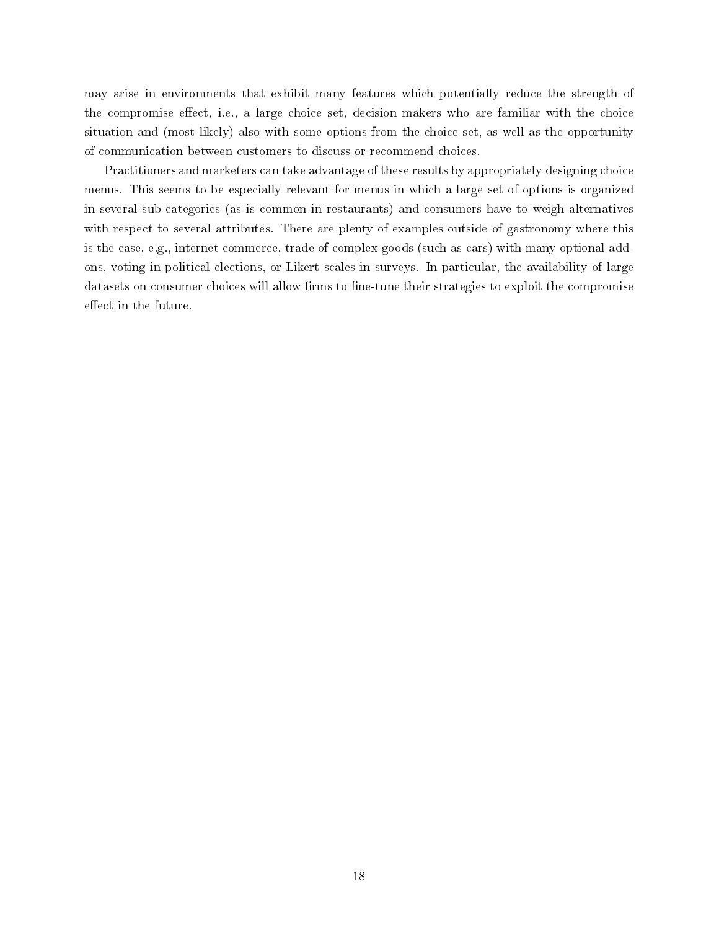may arise in environments that exhibit many features which potentially reduce the strength of the compromise effect, i.e., a large choice set, decision makers who are familiar with the choice situation and (most likely) also with some options from the choice set, as well as the opportunity of communication between customers to discuss or recommend choices.

Practitioners and marketers can take advantage of these results by appropriately designing choice menus. This seems to be especially relevant for menus in which a large set of options is organized in several sub-categories (as is common in restaurants) and consumers have to weigh alternatives with respect to several attributes. There are plenty of examples outside of gastronomy where this is the case, e.g., internet commerce, trade of complex goods (such as cars) with many optional addons, voting in political elections, or Likert scales in surveys. In particular, the availability of large datasets on consumer choices will allow firms to fine-tune their strategies to exploit the compromise effect in the future.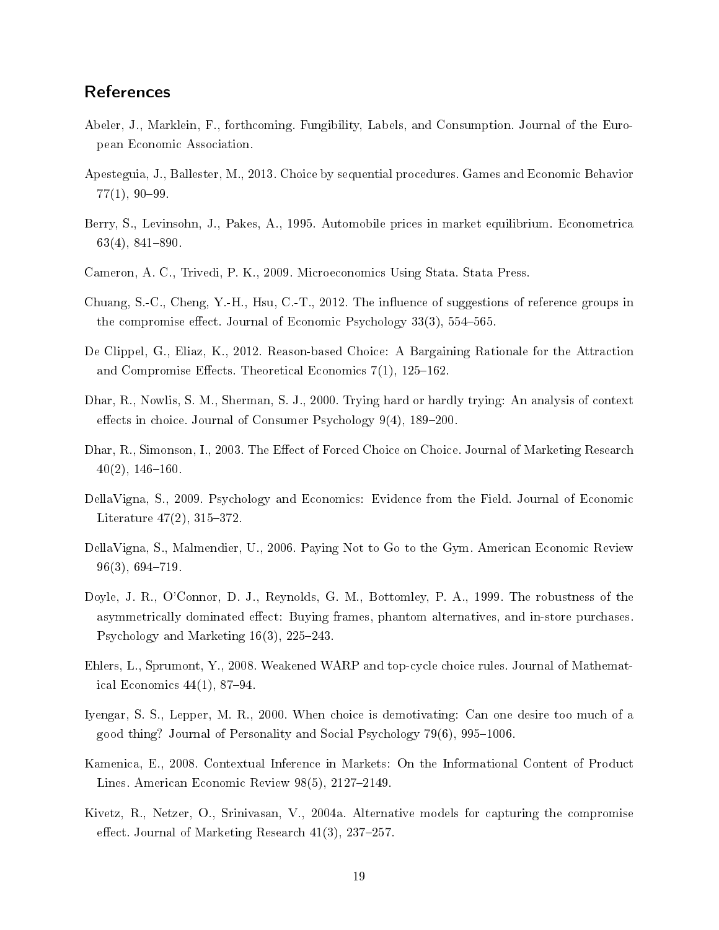## References

- Abeler, J., Marklein, F., forthcoming. Fungibility, Labels, and Consumption. Journal of the European Economic Association.
- Apesteguia, J., Ballester, M., 2013. Choice by sequential procedures. Games and Economic Behavior  $77(1), 90-99.$
- Berry, S., Levinsohn, J., Pakes, A., 1995. Automobile prices in market equilibrium. Econometrica  $63(4)$ ,  $841-890$ .
- Cameron, A. C., Trivedi, P. K., 2009. Microeconomics Using Stata. Stata Press.
- Chuang, S.-C., Cheng, Y.-H., Hsu, C.-T., 2012. The influence of suggestions of reference groups in the compromise effect. Journal of Economic Psychology  $33(3)$ ,  $554-565$ .
- De Clippel, G., Eliaz, K., 2012. Reason-based Choice: A Bargaining Rationale for the Attraction and Compromise Effects. Theoretical Economics  $7(1)$ , 125–162.
- Dhar, R., Nowlis, S. M., Sherman, S. J., 2000. Trying hard or hardly trying: An analysis of context effects in choice. Journal of Consumer Psychology  $9(4)$ ,  $189-200$ .
- Dhar, R., Simonson, I., 2003. The Effect of Forced Choice on Choice. Journal of Marketing Research  $40(2)$ ,  $146-160$ .
- DellaVigna, S., 2009. Psychology and Economics: Evidence from the Field. Journal of Economic Literature  $47(2)$ ,  $315-372$ .
- DellaVigna, S., Malmendier, U., 2006. Paying Not to Go to the Gym. American Economic Review  $96(3), 694-719.$
- Doyle, J. R., O'Connor, D. J., Reynolds, G. M., Bottomley, P. A., 1999. The robustness of the asymmetrically dominated effect: Buying frames, phantom alternatives, and in-store purchases. Psychology and Marketing  $16(3)$ ,  $225-243$ .
- Ehlers, L., Sprumont, Y., 2008. Weakened WARP and top-cycle choice rules. Journal of Mathematical Economics  $44(1)$ , 87-94.
- Iyengar, S. S., Lepper, M. R., 2000. When choice is demotivating: Can one desire too much of a good thing? Journal of Personality and Social Psychology  $79(6)$ ,  $995-1006$ .
- Kamenica, E., 2008. Contextual Inference in Markets: On the Informational Content of Product Lines. American Economic Review  $98(5)$ ,  $2127-2149$ .
- Kivetz, R., Netzer, O., Srinivasan, V., 2004a. Alternative models for capturing the compromise effect. Journal of Marketing Research  $41(3)$ , 237-257.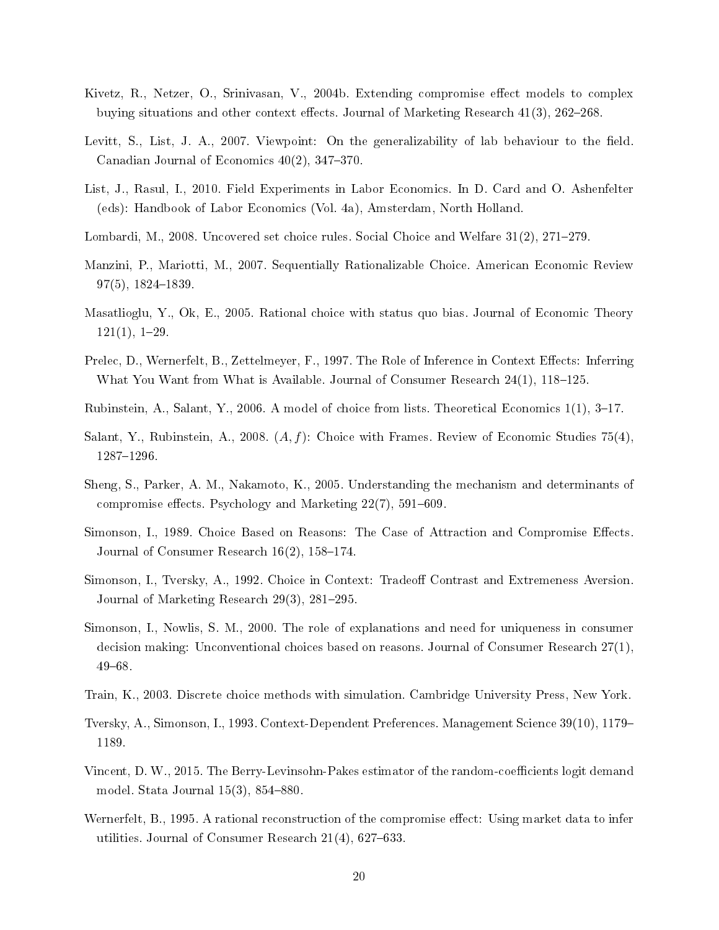- Kivetz, R., Netzer, O., Srinivasan, V., 2004b. Extending compromise effect models to complex buying situations and other context effects. Journal of Marketing Research  $41(3)$ ,  $262-268$ .
- Levitt, S., List, J. A., 2007. Viewpoint: On the generalizability of lab behaviour to the field. Canadian Journal of Economics  $40(2)$ ,  $347-370$ .
- List, J., Rasul, I., 2010. Field Experiments in Labor Economics. In D. Card and O. Ashenfelter (eds): Handbook of Labor Economics (Vol. 4a), Amsterdam, North Holland.
- Lombardi, M., 2008. Uncovered set choice rules. Social Choice and Welfare  $31(2)$ ,  $271-279$ .
- Manzini, P., Mariotti, M., 2007. Sequentially Rationalizable Choice. American Economic Review  $97(5)$ ,  $1824-1839$ .
- Masatlioglu, Y., Ok, E., 2005. Rational choice with status quo bias. Journal of Economic Theory  $121(1), 1-29.$
- Prelec, D., Wernerfelt, B., Zettelmeyer, F., 1997. The Role of Inference in Context Effects: Inferring What You Want from What is Available. Journal of Consumer Research  $24(1)$ ,  $118-125$ .
- Rubinstein, A., Salant, Y., 2006. A model of choice from lists. Theoretical Economics  $1(1)$ , 3–17.
- Salant, Y., Rubinstein, A., 2008.  $(A, f)$ : Choice with Frames. Review of Economic Studies 75(4), 1287-1296.
- Sheng, S., Parker, A. M., Nakamoto, K., 2005. Understanding the mechanism and determinants of compromise effects. Psychology and Marketing  $22(7)$ , 591–609.
- Simonson, I., 1989. Choice Based on Reasons: The Case of Attraction and Compromise Effects. Journal of Consumer Research  $16(2)$ ,  $158-174$ .
- Simonson, I., Tversky, A., 1992. Choice in Context: Tradeoff Contrast and Extremeness Aversion. Journal of Marketing Research  $29(3)$ ,  $281-295$ .
- Simonson, I., Nowlis, S. M., 2000. The role of explanations and need for uniqueness in consumer decision making: Unconventional choices based on reasons. Journal of Consumer Research 27(1),  $49 - 68$ .
- Train, K., 2003. Discrete choice methods with simulation. Cambridge University Press, New York.
- Tversky, A., Simonson, I., 1993. Context-Dependent Preferences. Management Science 39(10), 1179 1189.
- Vincent, D. W., 2015. The Berry-Levinsohn-Pakes estimator of the random-coefficients logit demand model. Stata Journal  $15(3)$ ,  $854-880$ .
- Wernerfelt, B., 1995. A rational reconstruction of the compromise effect: Using market data to infer utilities. Journal of Consumer Research  $21(4)$ ,  $627-633$ .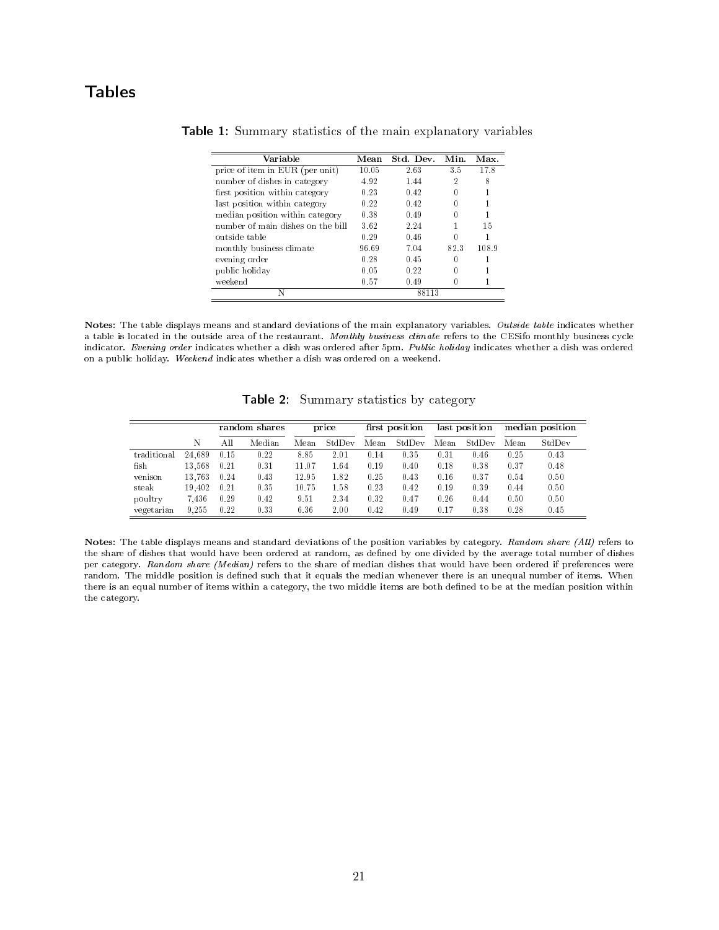## <span id="page-22-0"></span>Tables

| Variable                          | Mean  | Std. Dev. | Min.     | Max.  |
|-----------------------------------|-------|-----------|----------|-------|
| price of item in EUR (per unit)   | 10.05 | 2.63      | 3.5      | 17.8  |
| number of dishes in category      | 4.92  | 1.44      | 2        | 8     |
| first position within category    | 0.23  | 0.42      | 0        |       |
| last position within category     | 0.22  | 0.42      |          |       |
| median position within category   | 0.38  | 0.49      | 0        |       |
| number of main dishes on the bill | 3.62  | 2.24      |          | 15    |
| outside table                     | 0.29  | 0.46      | 0        |       |
| monthly business climate          | 96.69 | 7 04      | 82.3     | 108.9 |
| evening order                     | 0.28  | 0.45      | 0        |       |
| public holiday                    | 0.05  | 0.22      | 0        |       |
| weekend                           | 0.57  | 0.49      | $^{(1)}$ |       |
| N                                 |       | 88113     |          |       |

|  | <b>Table 1:</b> Summary statistics of the main explanatory variables |  |  |  |  |  |  |  |
|--|----------------------------------------------------------------------|--|--|--|--|--|--|--|
|--|----------------------------------------------------------------------|--|--|--|--|--|--|--|

Notes: The table displays means and standard deviations of the main explanatory variables. Outside table indicates whether a table is located in the outside area of the restaurant. Monthly business climate refers to the CESifo monthly business cycle indicator. Evening order indicates whether a dish was ordered after 5pm. Public holiday indicates whether a dish was ordered on a public holiday. Weekend indicates whether a dish was ordered on a weekend.

Table 2: Summary statistics by category

<span id="page-22-1"></span>

|             |        |      | $\bullet$<br>random shares<br>price |       |        | first position |        | last position |        | median position |        |
|-------------|--------|------|-------------------------------------|-------|--------|----------------|--------|---------------|--------|-----------------|--------|
|             | N      | All  | Median                              | Mean  | StdDev | Mean           | StdDev | Mean          | StdDev | Mean            | StdDev |
| traditional | 24.689 | 0.15 | 0.22                                | 8.85  | 2.01   | 0.14           | 0.35   | 0.31          | 0.46   | 0.25            | 0.43   |
| fish        | 13.568 | 0.21 | 0.31                                | 11.07 | 1.64   | 0.19           | 0.40   | 0.18          | 0.38   | 0.37            | 0.48   |
| venison     | 13.763 | 0.24 | 0.43                                | 12.95 | 1.82   | 0.25           | 0.43   | 0.16          | 0.37   | 0.54            | 0.50   |
| steak       | 19.402 | 0.21 | 0.35                                | 10.75 | 1.58   | 0.23           | 0.42   | 0.19          | 0.39   | 0.44            | 0.50   |
| poultry     | 7.436  | 0.29 | 0.42                                | 9.51  | 2.34   | 0.32           | 0.47   | 0.26          | 0.44   | 0.50            | 0.50   |
| vegetarian  | 9.255  | 0.22 | 0.33                                | 6.36  | 2.00   | 0.42           | 0.49   | 0.17          | 0.38   | 0.28            | 0.45   |

Notes: The table displays means and standard deviations of the position variables by category. Random share (All) refers to the share of dishes that would have been ordered at random, as defined by one divided by the average total number of dishes per category. Random share (Median) refers to the share of median dishes that would have been ordered if preferences were random. The middle position is defined such that it equals the median whenever there is an unequal number of items. When there is an equal number of items within a category, the two middle items are both defined to be at the median position within the category.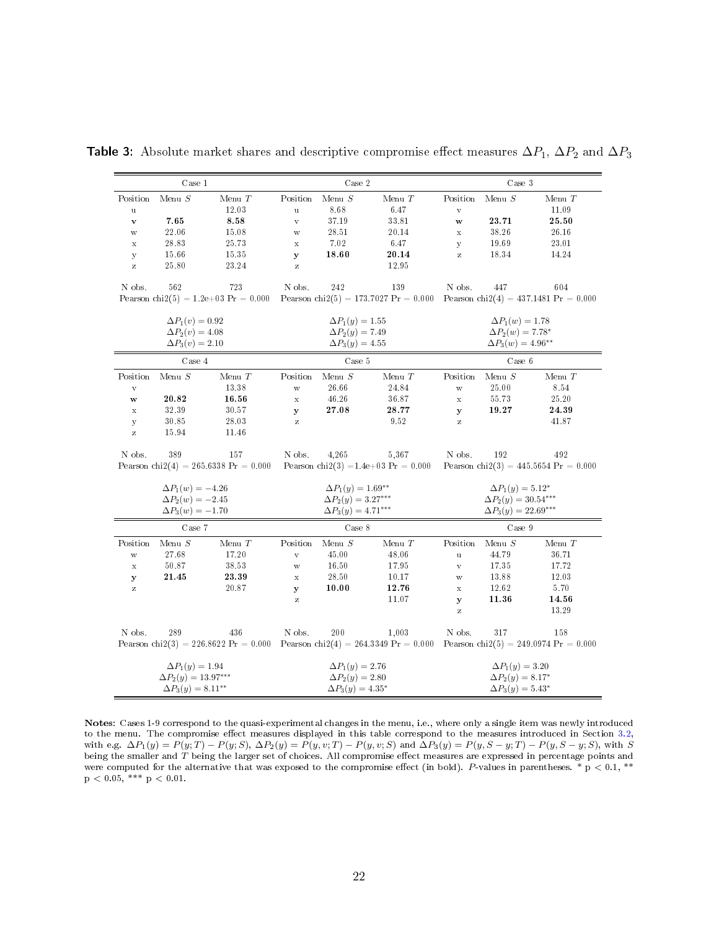|              | Case 1                      |                                        | Case 2       |                             |                                                                                                                   |                                                                            | Case 3                     |          |  |  |
|--------------|-----------------------------|----------------------------------------|--------------|-----------------------------|-------------------------------------------------------------------------------------------------------------------|----------------------------------------------------------------------------|----------------------------|----------|--|--|
| Position     | Menu $\cal S$               | Menu $T$                               | Position     | Menu $S$                    | Menu $T$                                                                                                          | Position                                                                   | Menu $\cal S$              | Menu $T$ |  |  |
| $\mathbf u$  |                             | 12.03                                  | $\mathbf u$  | 8.68                        | 6.47                                                                                                              | $\rm V$                                                                    |                            | 11.09    |  |  |
| $\mathbf{v}$ | 7.65                        | 8.58                                   | $\rm V$      | 37.19                       | 33.81                                                                                                             | W                                                                          | 23.71                      | 25.50    |  |  |
| W            | 22.06                       | 15.08                                  | W            | 28.51                       | 20.14                                                                                                             | $\mathbf x$                                                                | 38.26                      | 26.16    |  |  |
| $\mathbf x$  | 28.83                       | 25.73                                  | $\mathbf x$  | 7.02                        | 6.47                                                                                                              | y                                                                          | 19.69                      | 23.01    |  |  |
| y            | 15.66                       | 15.35                                  | y            | 18.60                       | 20.14                                                                                                             | $\rm{Z}$                                                                   | 18.34                      | 14.24    |  |  |
| $\mathbf{Z}$ | 25.80                       | 23.24                                  | $\rm{Z}$     |                             | 12.95                                                                                                             |                                                                            |                            |          |  |  |
| N obs.       | 562                         | 723                                    | N obs.       | 242                         | 139                                                                                                               | N obs.                                                                     | 447                        | 604      |  |  |
|              |                             | Pearson chi2(5) = $1.2e+03$ Pr = 0.000 |              |                             | Pearson chi2(5) = 173.7027 Pr = 0.000 Pearson chi2(4) = 437.1481 Pr = 0.000                                       |                                                                            |                            |          |  |  |
|              | $\Delta P_1(v) = 0.92$      |                                        |              | $\Delta P_1(y) = 1.55$      |                                                                                                                   |                                                                            | $\Delta P_1(w) = 1.78$     |          |  |  |
|              | $\Delta P_2(v) = 4.08$      |                                        |              | $\Delta P_2(y) = 7.49$      |                                                                                                                   |                                                                            | $\Delta P_2(w) = 7.78^*$   |          |  |  |
|              | $\Delta P_3(v) = 2.10$      |                                        |              | $\Delta P_3(y) = 4.55$      |                                                                                                                   | $\Delta P_3(w) = 4.96^{**}$                                                |                            |          |  |  |
|              | Case 4                      |                                        |              | Case 5                      |                                                                                                                   | Case 6                                                                     |                            |          |  |  |
| Position     | Menu $\cal S$               | Menu $T$                               | Position     | Menu $\cal S$               | Menu $T$                                                                                                          | Position                                                                   | Menu $\cal S$              | Menu $T$ |  |  |
| $\rm V$      |                             | 13.38                                  | $\mathbf{W}$ | 26.66                       | 24.84                                                                                                             | $\ensuremath{\text{W}}$                                                    | 25.00                      | 8.54     |  |  |
| W            | 20.82                       | 16.56                                  | $\mathbf x$  | 46.26                       | 36.87                                                                                                             | $\mathbf x$                                                                | 55.73                      | 25.20    |  |  |
| $\mathbf x$  | 32.39                       | 30.57                                  | $\mathbf{y}$ | 27.08                       | 28.77                                                                                                             | y                                                                          | 19.27                      | 24.39    |  |  |
| y            | 30.85                       | 28.03                                  | $\rm{z}$     |                             | 9.52                                                                                                              | $\rm{Z}$                                                                   |                            | 41.87    |  |  |
| $\rm{Z}$     | 15.94                       | 11.46                                  |              |                             |                                                                                                                   |                                                                            |                            |          |  |  |
| N obs.       | 389                         | 157                                    | N obs.       | 4,265                       | 5,367                                                                                                             | N obs.                                                                     | 192                        | 492      |  |  |
|              |                             | Pearson chi2(4) = 265.6338 Pr = 0.000  |              |                             |                                                                                                                   | Pearson chi2(3) = 1.4e+03 Pr = 0.000 Pearson chi2(3) = 445.5654 Pr = 0.000 |                            |          |  |  |
|              | $\Delta P_1(w) = -4.26$     |                                        |              | $\Delta P_1(y) = 1.69^{**}$ |                                                                                                                   | $\Delta P_1(y) = 5.12^*$                                                   |                            |          |  |  |
|              | $\Delta P_2(w) = -2.45$     |                                        |              | $\Delta P_2(y) = 3.27***$   |                                                                                                                   |                                                                            | $\Delta P_2(y) = 30.54***$ |          |  |  |
|              | $\Delta P_3(w) = -1.70$     |                                        |              | $\Delta P_3(y) = 4.71***$   |                                                                                                                   |                                                                            | $\Delta P_3(y) = 22.69***$ |          |  |  |
|              | Case 7                      |                                        |              | Case 8                      |                                                                                                                   |                                                                            | $\rm Case ~ 9$             |          |  |  |
| Position     | Menu $\cal S$               | Menu $T$                               | Position     | Menu $S$                    | Menu $T$                                                                                                          | Position                                                                   | Menu $S$                   | Menu $T$ |  |  |
| W            | 27.68                       | 17.20                                  | $\rm V$      | 45.00                       | 48.06                                                                                                             | $\mathbf u$                                                                | 44.79                      | 36.71    |  |  |
| $\mathbf x$  | 50.87                       | 38.53                                  | $\mathbf W$  | 16.50                       | 17.95                                                                                                             | $\rm V$                                                                    | 17.35                      | 17.72    |  |  |
| y            | 21.45                       | 23.39                                  | $\mathbf x$  | 28.50                       | 10.17                                                                                                             | $\mathbf W$                                                                | 13.88                      | 12.03    |  |  |
| $\rm{z}$     |                             | 20.87                                  | $\mathbf{y}$ | 10.00                       | 12.76                                                                                                             | $\mathbf x$                                                                | 12.62                      | 5.70     |  |  |
|              |                             |                                        | z            |                             | 11.07                                                                                                             | $\mathbf y$                                                                | 11.36                      | 14.56    |  |  |
|              |                             |                                        |              |                             |                                                                                                                   | $\rm{Z}$                                                                   |                            | 13.29    |  |  |
| N obs.       | 289                         | 436                                    | N obs.       | 200                         | 1.003                                                                                                             | N obs.                                                                     | 317                        | 158      |  |  |
|              |                             |                                        |              |                             | Pearson chi2(3) = 226.8622 Pr = 0.000 Pearson chi2(4) = 264.3349 Pr = 0.000 Pearson chi2(5) = 249.0974 Pr = 0.000 |                                                                            |                            |          |  |  |
|              | $\Delta P_1(y) = 1.94$      |                                        |              | $\Delta P_1(y) = 2.76$      |                                                                                                                   | $\Delta P_1(y) = 3.20$                                                     |                            |          |  |  |
|              | $\Delta P_2(y) = 13.97***$  |                                        |              | $\Delta P_2(y) = 2.80$      |                                                                                                                   |                                                                            | $\Delta P_2(y) = 8.17^*$   |          |  |  |
|              | $\Delta P_3(y) = 8.11^{**}$ |                                        |              | $\Delta P_3(y) = 4.35^*$    |                                                                                                                   |                                                                            | $\Delta P_3(y) = 5.43^*$   |          |  |  |

<span id="page-23-0"></span>Table 3: Absolute market shares and descriptive compromise effect measures  $\Delta P_1$ ,  $\Delta P_2$  and  $\Delta P_3$ 

Notes: Cases 1-9 correspond to the quasi-experimental changes in the menu, i.e., where only a single item was newly introduced to the menu. The compromise effect measures displayed in this table correspond to the measures introduced in Section [3.2,](#page-9-0) with e.g.  $\Delta P_1(y) = P(y; T) - P(y; S)$ ,  $\Delta P_2(y) = P(y, v; T) - P(y, v; S)$  and  $\Delta P_3(y) = P(y, S - y; T) - P(y, S - y; S)$ , with S being the smaller and  $T$  being the larger set of choices. All compromise effect measures are expressed in percentage points and were computed for the alternative that was exposed to the compromise effect (in bold). P-values in parentheses. \* p  $< 0.1$ , \*\*  ${\rm p}\,<\,0.05,\,$  \*\*\*  ${\rm p}\,<\,0.01.$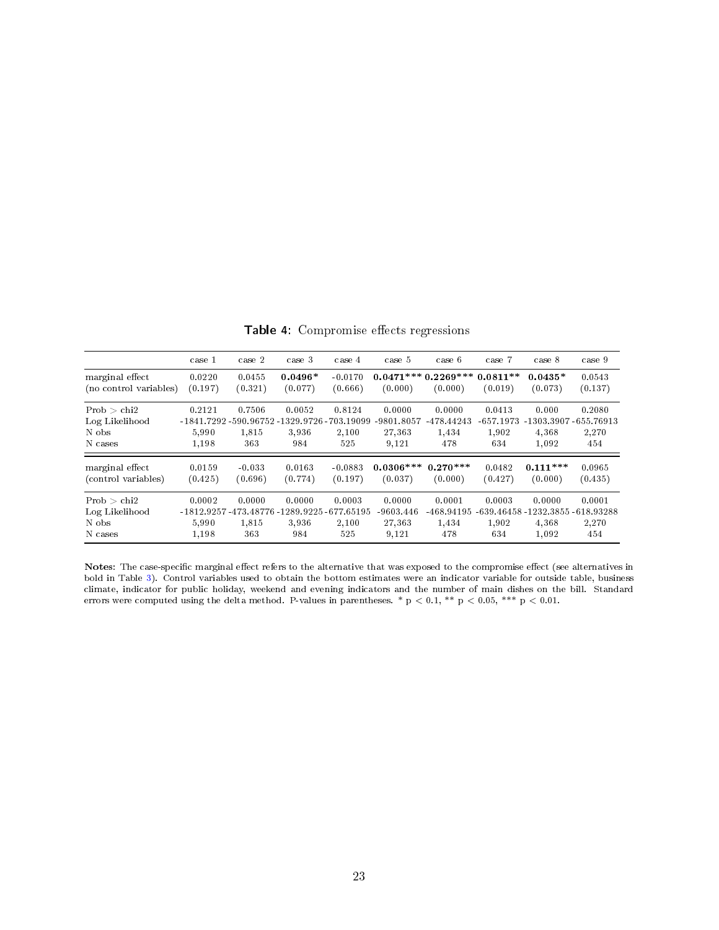<span id="page-24-0"></span>

|                                                   | case 1                                                                  | case 2                 | case 3                 | case 4                 | case 5                                   | case 6                               | case 7                                | case 8                                                       | case 9                 |
|---------------------------------------------------|-------------------------------------------------------------------------|------------------------|------------------------|------------------------|------------------------------------------|--------------------------------------|---------------------------------------|--------------------------------------------------------------|------------------------|
| marginal effect<br>(no control variables)         | 0.0220<br>(0.197)                                                       | 0.0455<br>(0.321)      | $0.0496*$<br>(0.077)   | $-0.0170$<br>(0.666)   | $0.0471***0.2269***0.0811**$<br>(0.000)  | (0.000)                              | (0.019)                               | $0.0435*$<br>(0.073)                                         | 0.0543<br>(0.137)      |
| Prob > chi2<br>Log Likelihood<br>N obs<br>N cases | 0.2121<br>-1841.7292 -590.96752 -1329.9726 -703.19099<br>5.990<br>1,198 | 0.7506<br>1,815<br>363 | 0.0052<br>3.936<br>984 | 0.8124<br>2.100<br>525 | 0.0000<br>-9801.8057<br>27,363<br>9,121  | 0.0000<br>-478.44243<br>1,434<br>478 | 0.0413<br>$-657.1973$<br>1.902<br>634 | 0.000<br>-1303.3907-655.76913<br>4.368<br>1.092              | 0.2080<br>2,270<br>454 |
| marginal effect<br>(control variables)            | 0.0159<br>(0.425)                                                       | $-0.033$<br>(0.696)    | 0.0163<br>(0.774)      | $-0.0883$<br>(0.197)   | $0.0306***$<br>(0.037)                   | $0.270***$<br>(0.000)                | 0.0482<br>(0.427)                     | $0.111***$<br>(0.000)                                        | 0.0965<br>(0.435)      |
| Prob > chi2<br>Log Likelihood<br>N obs<br>N cases | 0.0002<br>-1812 9257 -473 48776 -1289 9225 -677 65195<br>5,990<br>1,198 | 0.0000<br>1,815<br>363 | 0.0000<br>3.936<br>984 | 0.0003<br>2.100<br>525 | 0.0000<br>$-9603.446$<br>27,363<br>9,121 | 0.0001<br>-468.94195<br>1,434<br>478 | 0.0003<br>1.902<br>634                | 0.0000<br>-639.46458 -1232.3855 -618.93288<br>4.368<br>1,092 | 0.0001<br>2,270<br>454 |

Table 4: Compromise effects regressions

Notes: The case-specific marginal effect refers to the alternative that was exposed to the compromise effect (see alternatives in bold in Table [3\)](#page-23-0). Control variables used to obtain the bottom estimates were an indicator variable for outside table, business climate, indicator for public holiday, weekend and evening indicators and the number of main dishes on the bill. Standard errors were computed using the delta method. P-values in parentheses. \* p  $<$  0.1, \*\* p  $<$  0.05, \*\*\* p  $<$  0.01.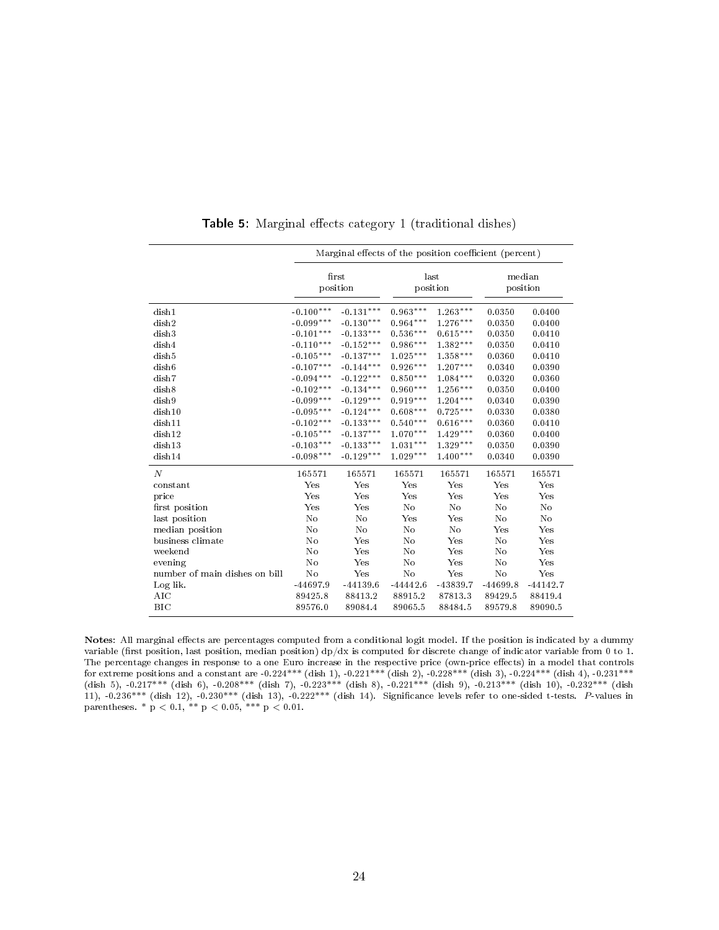<span id="page-25-0"></span>

|                               |                | Marginal effects of the position coefficient (percent) |            |                  |                    |            |
|-------------------------------|----------------|--------------------------------------------------------|------------|------------------|--------------------|------------|
|                               |                | first<br>position                                      |            | last<br>position | median<br>position |            |
| dish1                         | $-0.100***$    | $-0.131***$                                            | $0.963***$ | $1.263***$       | 0.0350             | 0.0400     |
| dish2                         | $-0.099***$    | $-0.130***$                                            | $0.964***$ | $1.276***$       | 0.0350             | 0.0400     |
| dish3                         | $-0.101***$    | $-0.133***$                                            | $0.536***$ | $0.615***$       | 0.0350             | 0.0410     |
| dish4                         | $-0.110***$    | $-0.152***$                                            | $0.986***$ | 1.382***         | 0.0350             | 0.0410     |
| dish5                         | $-0.105***$    | $-0.137***$                                            | $1.025***$ | $1.358***$       | 0.0360             | 0.0410     |
| dish <sub>6</sub>             | $-0.107***$    | $-0.144***$                                            | $0.926***$ | $1.207***$       | 0.0340             | 0.0390     |
| dish7                         | $-0.094***$    | $-0.122***$                                            | $0.850***$ | $1.084***$       | 0.0320             | 0.0360     |
| dish8                         | $-0.102***$    | $-0.134***$                                            | $0.960***$ | $1.256***$       | 0.0350             | 0.0400     |
| dish9                         | $-0.099***$    | $-0.129***$                                            | $0.919***$ | $1.204***$       | 0.0340             | 0.0390     |
| dish10                        | $-0.095***$    | $-0.124***$                                            | $0.608***$ | $0.725***$       | 0.0330             | 0.0380     |
| dish11                        | $-0.102***$    | $-0.133***$                                            | $0.540***$ | $0.616***$       | 0.0360             | 0.0410     |
| dish12                        | $-0.105***$    | $-0.137***$                                            | $1.070***$ | $1.429***$       | 0.0360             | 0.0400     |
| dish13                        | $-0.103***$    | $-0.133***$                                            | $1.031***$ | $1.329***$       | 0.0350             | 0.0390     |
| dish14                        | $-0.098***$    | $-0.129***$                                            | $1.029***$ | $1.400***$       | 0.0340             | 0.0390     |
| $\boldsymbol{N}$              | 165571         | 165571                                                 | 165571     | 165571           | 165571             | 165571     |
| constant                      | Yes            | Yes                                                    | Yes        | Yes              | Yes                | Yes        |
| price                         | Yes            | Yes                                                    | Yes        | Yes              | Yes                | Yes        |
| first position                | Yes            | Yes                                                    | No         | No               | No                 | No         |
| last position                 | No             | No                                                     | Yes        | Yes              | No                 | No         |
| median position               | No             | No                                                     | No         | No               | Yes                | Yes        |
| business climate              | N <sub>o</sub> | Yes                                                    | No         | Yes              | No                 | Yes        |
| weekend                       | No             | Yes                                                    | No         | Yes              | No                 | Yes        |
| evening                       | No             | Yes                                                    | No         | Yes              | No                 | Yes        |
| number of main dishes on bill | No             | Yes                                                    | No         | Yes              | No                 | Yes        |
| Log lik.                      | $-44697.9$     | $-44139.6$                                             | $-44442.6$ | -43839.7         | $-44699.8$         | $-44142.7$ |
| AIC                           | 89425.8        | 88413.2                                                | 88915.2    | 87813.3          | 89429.5            | 88419.4    |
| <b>BIC</b>                    | 89576.0        | 89084.4                                                | 89065.5    | 88484.5          | 89579.8            | 89090.5    |

**Table 5:** Marginal effects category 1 (traditional dishes)

Notes: All marginal effects are percentages computed from a conditional logit model. If the position is indicated by a dummy variable (first position, last position, median position)  $dp/dx$  is computed for discrete change of indicator variable from 0 to 1. The percentage changes in response to a one Euro increase in the respective price (own-price effects) in a model that controls for extreme positions and a constant are -0.224\*\*\* (dish 1), -0.221\*\*\* (dish 2), -0.228\*\*\* (dish 3), -0.224\*\*\* (dish 4), -0.231\*\*\* (dish 5), -0.217\*\*\* (dish 6), -0.208\*\*\* (dish 7), -0.223\*\*\* (dish 8), -0.221\*\*\* (dish 9), -0.213\*\*\* (dish 10), -0.232\*\*\* (dish 11), -0.236\*\*\* (dish 12), -0.230\*\*\* (dish 13), -0.222\*\*\* (dish 14). Signicance levels refer to one-sided t-tests. P-values in parentheses. \*  $p < 0.1$ , \*\*  $p < 0.05$ , \*\*\*  $p < 0.01$ .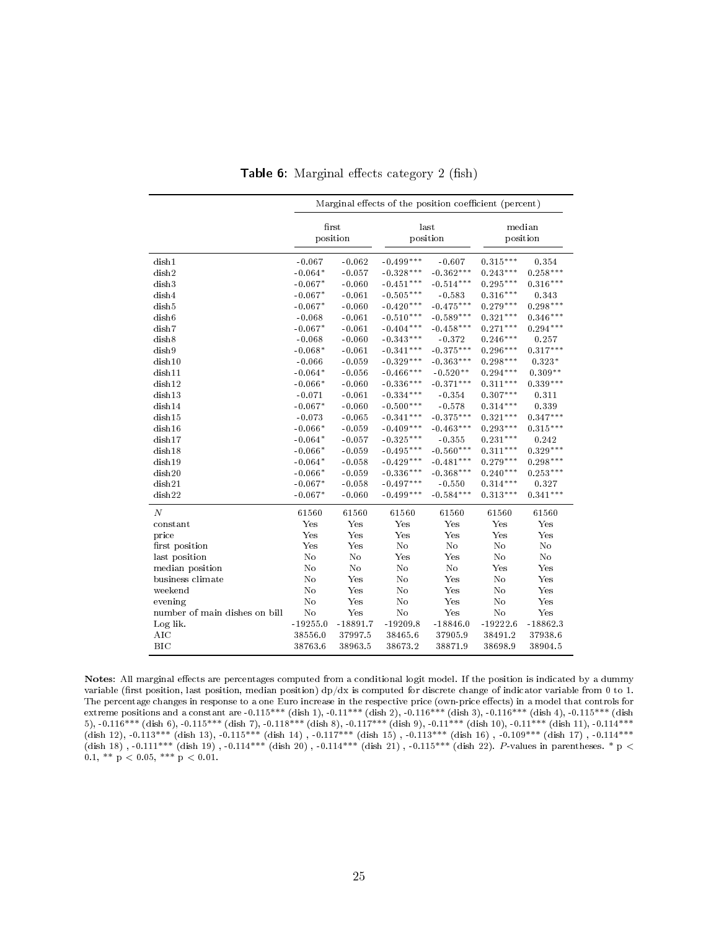<span id="page-26-0"></span>

|                               |            |                   | Marginal effects of the position coefficient (percent) |                  |            |                    |
|-------------------------------|------------|-------------------|--------------------------------------------------------|------------------|------------|--------------------|
|                               |            | first<br>position |                                                        | last<br>position |            | median<br>position |
| dish1                         | $-0.067$   | $-0.062$          | $-0.499***$                                            | $-0.607$         | $0.315***$ | 0.354              |
| dish2                         | $-0.064*$  | $-0.057$          | $-0.328***$                                            | $-0.362***$      | $0.243***$ | $0.258***$         |
| dish3                         | $-0.067*$  | $-0.060$          | $-0.451***$                                            | $-0.514***$      | $0.295***$ | $0.316***$         |
| dish4                         | $-0.067*$  | $-0.061$          | $-0.505***$                                            | $-0.583$         | $0.316***$ | 0.343              |
| dish5                         | $-0.067*$  | $-0.060$          | $-0.420***$                                            | $-0.475***$      | $0.279***$ | $0.298***$         |
| dish <sub>6</sub>             | $-0.068$   | $-0.061$          | $-0.510***$                                            | $-0.589***$      | $0.321***$ | $0.346***$         |
| dish7                         | $-0.067*$  | $-0.061$          | $-0.404***$                                            | $-0.458***$      | $0.271***$ | $0.294***$         |
| dish8                         | $-0.068$   | $-0.060$          | $-0.343***$                                            | $-0.372$         | $0.246***$ | 0.257              |
| dish9                         | $-0.068*$  | $-0.061$          | $-0.341***$                                            | $-0.375***$      | $0.296***$ | $0.317***$         |
| dish10                        | $-0.066$   | $-0.059$          | $-0.329***$                                            | $-0.363***$      | $0.298***$ | $0.323*$           |
| dish11                        | $-0.064*$  | $-0.056$          | $-0.466***$                                            | $-0.520**$       | $0.294***$ | $0.309**$          |
| dish12                        | $-0.066*$  | $-0.060$          | $-0.336***$                                            | $-0.371***$      | $0.311***$ | $0.339***$         |
| dish13                        | $-0.071$   | $-0.061$          | $-0.334***$                                            | $-0.354$         | $0.307***$ | 0.311              |
| dish14                        | $-0.067*$  | $-0.060$          | $-0.500***$                                            | $-0.578$         | $0.314***$ | 0.339              |
| dish15                        | $-0.073$   | $-0.065$          | $-0.341***$                                            | $-0.375***$      | $0.321***$ | $0.347***$         |
| dish16                        | $-0.066*$  | $-0.059$          | $-0.409***$                                            | $-0.463***$      | $0.293***$ | $0.315***$         |
| dish17                        | $-0.064*$  | $-0.057$          | $-0.325***$                                            | $-0.355$         | $0.231***$ | 0.242              |
| dish18                        | $-0.066*$  | $-0.059$          | $-0.495***$                                            | $-0.560***$      | $0.311***$ | $0.329***$         |
| dish19                        | $-0.064*$  | $-0.058$          | $-0.429***$                                            | $-0.481***$      | $0.279***$ | $0.298***$         |
| dish20                        | $-0.066*$  | $-0.059$          | $-0.336***$                                            | $-0.368***$      | $0.240***$ | $0.253***$         |
| dish21                        | $-0.067*$  | $-0.058$          | $-0.497***$                                            | $-0.550$         | $0.314***$ | 0.327              |
| dish22                        | $-0.067*$  | $-0.060$          | $-0.499***$                                            | $-0.584***$      | $0.313***$ | $0.341***$         |
| $\boldsymbol{N}$              | 61560      | 61560             | 61560                                                  | 61560            | 61560      | 61560              |
| constant                      | Yes        | Yes               | Yes                                                    | Yes              | Yes        | Yes                |
| price                         | Yes        | Yes               | Yes                                                    | Yes              | Yes        | Yes                |
| first position                | Yes        | Yes               | No                                                     | No               | No         | No                 |
| last position                 | No         | No                | Yes                                                    | Yes              | No         | No                 |
| median position               | No         | No                | No                                                     | No               | Yes        | Yes                |
| business climate              | No         | Yes               | No                                                     | Yes              | No         | Yes                |
| weekend                       | No         | Yes               | No                                                     | Yes              | No         | Yes                |
| evening                       | No         | Yes               | No                                                     | Yes              | No         | Yes                |
| number of main dishes on bill | No         | Yes               | No                                                     | Yes              | No         | Yes                |
| Log lik.                      | $-19255.0$ | $-18891.7$        | $-19209.8$                                             | $-18846.0$       | $-19222.6$ | $-18862.3$         |
| AIC                           | 38556.0    | 37997.5           | 38465.6                                                | 37905.9          | 38491.2    | 37938.6            |
| <b>BIC</b>                    | 38763.6    | 38963.5           | 38673.2                                                | 38871.9          | 38698.9    | 38904.5            |

Table 6: Marginal effects category  $2$  (fish)

Notes: All marginal effects are percentages computed from a conditional logit model. If the position is indicated by a dummy variable (first position, last position, median position)  $dp/dx$  is computed for discrete change of indicator variable from 0 to 1. The percentage changes in response to a one Euro increase in the respective price (own-price effects) in a model that controls for extreme positions and a constant are -0.115\*\*\* (dish 1), -0.11\*\*\* (dish 2), -0.116\*\*\* (dish 3), -0.116\*\*\* (dish 4), -0.115\*\*\* (dish 5), -0.116\*\*\* (dish 6), -0.115\*\*\* (dish 7), -0.118\*\*\* (dish 8), -0.117\*\*\* (dish 9), -0.11\*\*\* (dish 10), -0.11\*\*\* (dish 11), -0.114\*\*\* (dish 12), -0.113\*\*\* (dish 13), -0.115\*\*\* (dish 14) , -0.117\*\*\* (dish 15) , -0.113\*\*\* (dish 16) , -0.109\*\*\* (dish 17) , -0.114\*\*\* (dish 18) , -0.111\*\*\* (dish 19) , -0.114\*\*\* (dish 20) , -0.114\*\*\* (dish 21) , -0.115\*\*\* (dish 22). *P*-values in parentheses. \* p  $<$ 0.1, \*\*  $p < 0.05$ , \*\*\*  $p < 0.01$ .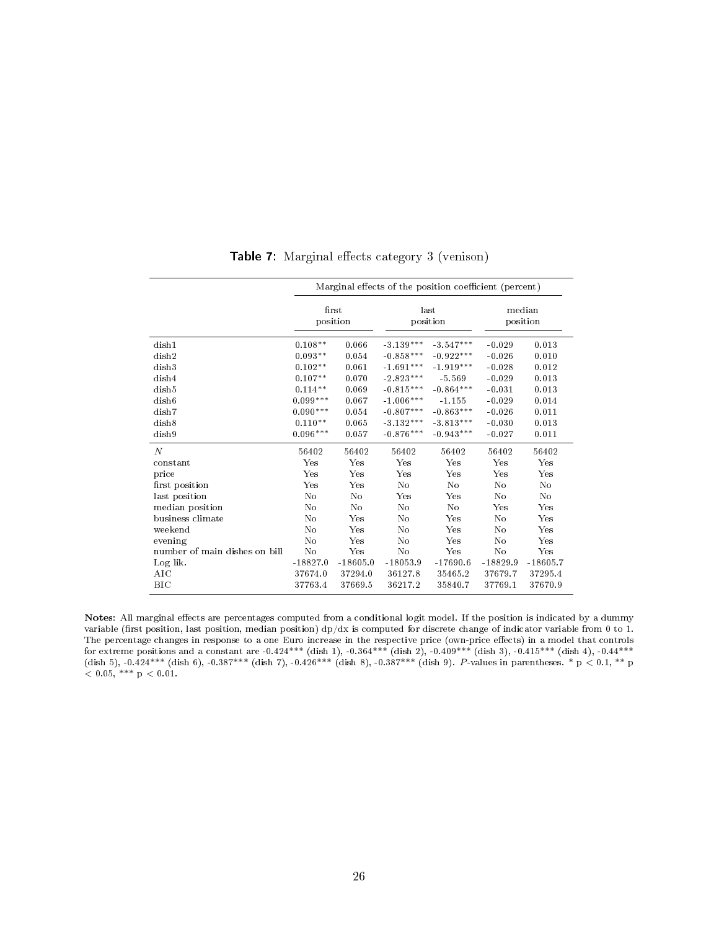|                               |            |            |                  | Marginal effects of the position coefficient (percent) |            |                    |
|-------------------------------|------------|------------|------------------|--------------------------------------------------------|------------|--------------------|
|                               | first      | position   | last<br>position |                                                        |            | median<br>position |
| dish1                         | $0.108**$  | 0.066      | $-3.139***$      | $-3.547***$                                            | $-0.029$   | 0.013              |
| dish2                         | $0.093**$  | 0.054      | $-0.858***$      | $-0.922***$                                            | $-0.026$   | 0.010              |
| dish3                         | $0.102**$  | 0.061      | $-1.691***$      | $-1.919***$                                            | $-0.028$   | 0.012              |
| dish4                         | $0.107**$  | 0.070      | $-2.823***$      | $-5.569$                                               | $-0.029$   | 0.013              |
| dish5                         | $0.114**$  | 0.069      | $-0.815***$      | $-0.864***$                                            | $-0.031$   | 0.013              |
| dish <sub>6</sub>             | $0.099***$ | 0.067      | $-1.006***$      | $-1.155$                                               | $-0.029$   | 0.014              |
| dish7                         | $0.090***$ | 0.054      | $-0.807***$      | $-0.863***$                                            | $-0.026$   | 0.011              |
| dish8                         | $0.110**$  | 0.065      | $-3.132***$      | $-3.813***$                                            | $-0.030$   | 0.013              |
| dish9                         | $0.096***$ | 0.057      | $-0.876***$      | $-0.943***$                                            | $-0.027$   | 0.011              |
| $\boldsymbol{N}$              | 56402      | 56402      | 56402            | 56402                                                  | 56402      | 56402              |
| constant                      | Yes        | Yes        | Yes              | Yes                                                    | Yes        | Yes                |
| price                         | Yes        | Yes        | Yes              | Yes                                                    | Yes        | Yes                |
| first position                | Yes        | Yes        | No               | No                                                     | No         | No                 |
| last position                 | No         | No         | Yes              | Yes                                                    | No         | No                 |
| median position               | No         | No         | No               | No                                                     | Yes        | $_{\rm Yes}$       |
| business climate              | No         | Yes        | No               | Yes                                                    | No         | Yes                |
| weekend                       | No         | Yes        | No               | Yes                                                    | No         | Yes                |
| evening                       | No         | Yes        | No               | Yes                                                    | No         | Yes                |
| number of main dishes on bill | No         | Yes        | No               | Yes                                                    | No         | Yes                |
| Log lik.                      | $-18827.0$ | $-18605.0$ | $-18053.9$       | $-17690.6$                                             | $-18829.9$ | $-18605.7$         |
| AIC                           | 37674.0    | 37294.0    | 36127.8          | 35465.2                                                | 37679.7    | 37295.4            |
| <b>BIC</b>                    | 37763.4    | 37669.5    | 36217.2          | 35840.7                                                | 37769.1    | 37670.9            |

Table 7: Marginal effects category 3 (venison)

Notes: All marginal effects are percentages computed from a conditional logit model. If the position is indicated by a dummy variable (first position, last position, median position)  $dp/dx$  is computed for discrete change of indicator variable from 0 to 1. The percentage changes in response to a one Euro increase in the respective price (own-price effects) in a model that controls for extreme positions and a constant are -0.424\*\*\* (dish 1), -0.364\*\*\* (dish 2), -0.409\*\*\* (dish 3), -0.415\*\*\* (dish 4), -0.44\*\*\* (dish 5), -0.424\*\*\* (dish 6), -0.387\*\*\* (dish 7), -0.426\*\*\* (dish 8), -0.387\*\*\* (dish 9). P-values in parentheses. \* p < 0.1, \*\* p  $< 0.05,$  \*\*\* p  $< 0.01$ .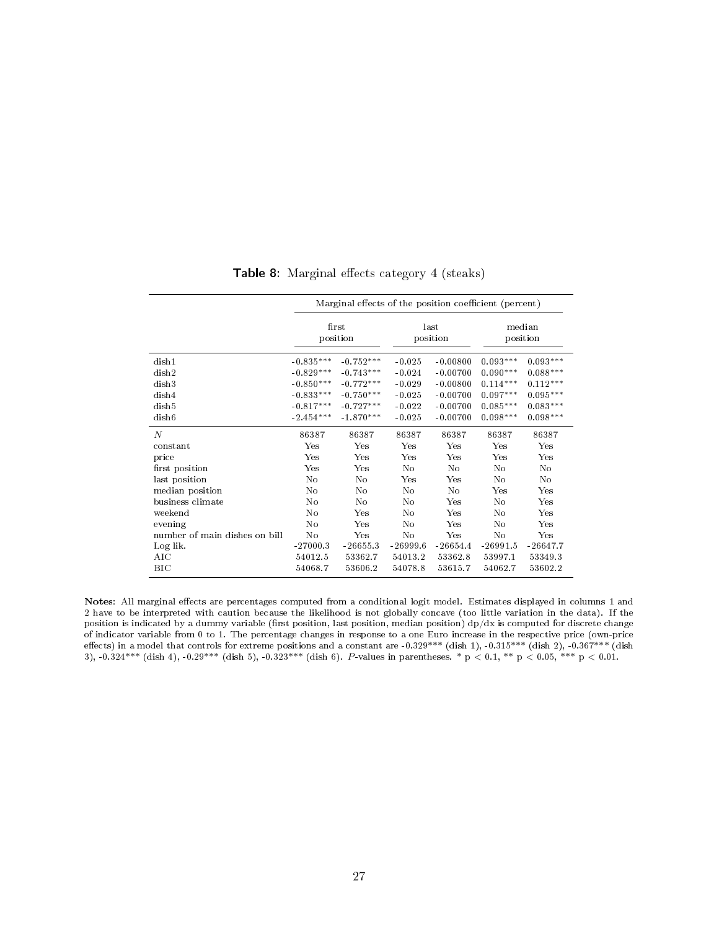|                               | Marginal effects of the position coefficient (percent) |             |              |                  |                    |            |  |  |  |
|-------------------------------|--------------------------------------------------------|-------------|--------------|------------------|--------------------|------------|--|--|--|
|                               | first<br>position                                      |             |              | last<br>position | median<br>position |            |  |  |  |
| dish1                         | $-0.835***$                                            | $-0.752***$ | $-0.025$     | $-0.00800$       | $0.093***$         | $0.093***$ |  |  |  |
| dish2                         | $-0.829***$                                            | $-0.743***$ | $-0.024$     | $-0.00700$       | $0.090***$         | $0.088***$ |  |  |  |
| dish3                         | $-0.850***$                                            | $-0.772***$ | $-0.029$     | $-0.00800$       | $0.114***$         | $0.112***$ |  |  |  |
| dish4                         | $-0.833***$                                            | $-0.750***$ | $-0.025$     | $-0.00700$       | $0.097***$         | $0.095***$ |  |  |  |
| dish5                         | $-0.817***$                                            | $-0.727***$ | $-0.022$     | $-0.00700$       | $0.085***$         | $0.083***$ |  |  |  |
| dish <sub>6</sub>             | $-2.454***$                                            | $-1.870***$ | $-0.025$     | $-0.00700$       | $0.098***$         | $0.098***$ |  |  |  |
| $\boldsymbol{N}$              | 86387                                                  | 86387       | 86387        | 86387            | 86387              | 86387      |  |  |  |
| constant                      | $_{\rm Yes}$                                           | Yes         | $_{\rm Yes}$ | Yes              | Yes                | Yes        |  |  |  |
| price                         | $_{\rm Yes}$                                           | Yes         | $_{\rm Yes}$ | Yes              | Yes                | Yes        |  |  |  |
| first position                | $_{\rm Yes}$                                           | Yes         | No           | No               | No                 | No         |  |  |  |
| last position                 | No                                                     | No          | Yes          | Yes              | No                 | No         |  |  |  |
| median position               | No                                                     | No          | No           | No               | Yes                | Yes        |  |  |  |
| business climate              | No                                                     | No          | No           | Yes              | No                 | Yes        |  |  |  |
| weekend                       | No                                                     | Yes         | No           | Yes              | No                 | Yes        |  |  |  |
| evening                       | No                                                     | Yes         | No           | Yes              | No                 | Yes        |  |  |  |
| number of main dishes on bill | No                                                     | Yes         | No           | Yes              | No                 | Yes        |  |  |  |
| Log lik.                      | $-27000.3$                                             | $-26655.3$  | $-26999.6$   | $-26654.4$       | $-26991.5$         | $-26647.7$ |  |  |  |
| AIC                           | 54012.5                                                | 53362.7     | 54013.2      | 53362.8          | 53997.1            | 53349.3    |  |  |  |
| ВIС                           | 54068.7                                                | 53606.2     | 54078.8      | 53615.7          | 54062.7            | 53602.2    |  |  |  |

Table 8: Marginal effects category 4 (steaks)

Notes: All marginal effects are percentages computed from a conditional logit model. Estimates displayed in columns 1 and 2 have to be interpreted with caution because the likelihood is not globally concave (too little variation in the data). If the position is indicated by a dummy variable (first position, last position, median position)  $dp/dx$  is computed for discrete change of indicator variable from 0 to 1. The percentage changes in response to a one Euro increase in the respective price (own-price effects) in a model that controls for extreme positions and a constant are -0.329\*\*\* (dish 1), -0.315\*\*\* (dish 2), -0.367\*\*\* (dish 3),  $-0.324***$  (dish 4),  $-0.29***$  (dish 5),  $-0.323***$  (dish 6).  $P$ -values in parentheses. \* p  $< 0.1, **$  p  $< 0.05, **$  p  $< 0.01.$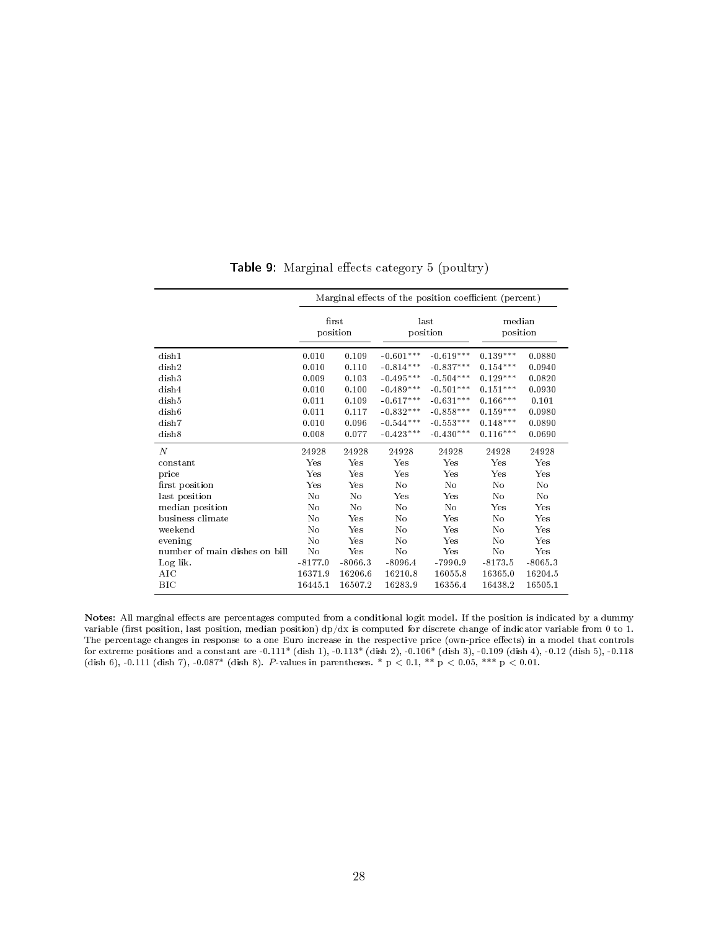|                               |           |              | Marginal effects of the position coefficient (percent) |                  |                    |              |
|-------------------------------|-----------|--------------|--------------------------------------------------------|------------------|--------------------|--------------|
|                               | first     | position     |                                                        | last<br>position | median<br>position |              |
| dish1                         | 0.010     | 0.109        | $-0.601***$                                            | $-0.619***$      | $0.139***$         | 0.0880       |
| dish2                         | 0.010     | 0.110        | $-0.814***$                                            | $-0.837***$      | $0.154***$         | 0.0940       |
| dish3                         | 0.009     | 0.103        | $-0.495***$                                            | $-0.504***$      | $0.129***$         | 0.0820       |
| dish4                         | 0.010     | 0.100        | $-0.489***$                                            | $-0.501***$      | $0.151***$         | 0.0930       |
| dish5                         | 0.011     | 0.109        | $-0.617***$                                            | $-0.631***$      | $0.166***$         | 0.101        |
| dish <sub>6</sub>             | 0.011     | 0.117        | $-0.832***$                                            | $-0.858***$      | $0.159***$         | 0.0980       |
| dish7                         | 0.010     | 0.096        | $-0.544***$                                            | $-0.553***$      | $0.148***$         | 0.0890       |
| dish8                         | 0.008     | 0.077        | $-0.423***$                                            | $-0.430***$      | $0.116***$         | 0.0690       |
| $\boldsymbol{N}$              | 24928     | 24928        | 24928                                                  | 24928            | 24928              | 24928        |
| constant                      | Yes       | Yes          | Yes                                                    | Yes              | Yes                | Yes          |
| price                         | Yes       | Yes          | Yes                                                    | Yes              | Yes                | $_{\rm Yes}$ |
| first position                | Yes       | $_{\rm Yes}$ | No                                                     | No               | No                 | No           |
| last position                 | No        | No           | Yes                                                    | Yes              | No                 | No           |
| median position               | No        | No           | No                                                     | No               | Yes                | $_{\rm Yes}$ |
| business climate              | No        | Yes          | No                                                     | Yes              | No                 | Yes          |
| weekend                       | No        | Yes          | No                                                     | Yes              | No                 | Yes          |
| evening                       | No        | $_{\rm Yes}$ | No                                                     | Yes              | No                 | Yes          |
| number of main dishes on bill | No        | Yes          | No                                                     | Yes              | No                 | Yes          |
| Log lik.                      | $-8177.0$ | $-8066.3$    | $-8096.4$                                              | $-7990.9$        | $-8173.5$          | $-8065.3$    |
| AIC                           | 16371.9   | 16206.6      | 16210.8                                                | 16055.8          | 16365.0            | 16204.5      |
| <b>BIC</b>                    | 16445.1   | 16507.2      | 16283.9                                                | 16356.4          | 16438.2            | 16505.1      |

Table 9: Marginal effects category 5 (poultry)

Notes: All marginal effects are percentages computed from a conditional logit model. If the position is indicated by a dummy variable (first position, last position, median position)  $dp/dx$  is computed for discrete change of indicator variable from 0 to 1. The percentage changes in response to a one Euro increase in the respective price (own-price effects) in a model that controls for extreme positions and a constant are -0.111\* (dish 1), -0.113\* (dish 2), -0.106\* (dish 3), -0.109 (dish 4), -0.12 (dish 5), -0.118 (dish 6),  $-0.111$  (dish 7),  $-0.087*$  (dish 8). P-values in parentheses. \* p  $< 0.1$ , \*\* p  $< 0.05$ , \*\*\* p  $< 0.01$ .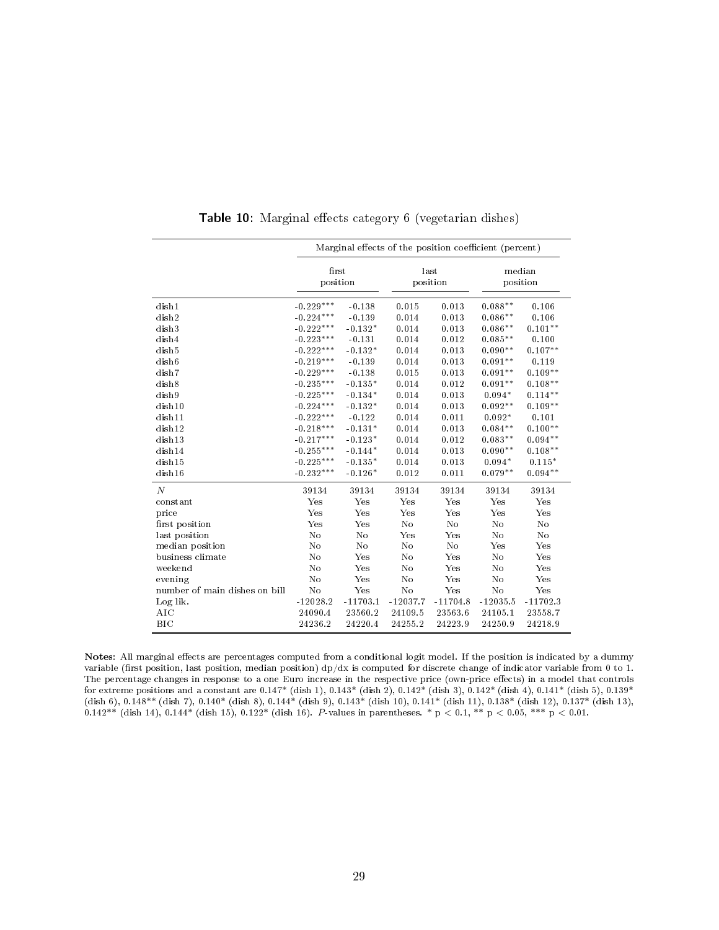<span id="page-30-0"></span>

|                               |                   |            |            | Marginal effects of the position coefficient (percent) |            |                    |
|-------------------------------|-------------------|------------|------------|--------------------------------------------------------|------------|--------------------|
|                               | first<br>position |            |            | last<br>position                                       |            | median<br>position |
| dish1                         | $-0.229***$       | $-0.138$   | 0.015      | 0.013                                                  | $0.088**$  | 0.106              |
| dish2                         | $-0.224***$       | $-0.139$   | 0.014      | 0.013                                                  | $0.086**$  | 0.106              |
| dish3                         | $-0.222***$       | $-0.132*$  | 0.014      | 0.013                                                  | $0.086**$  | $0.101**$          |
| dish4                         | $-0.223***$       | $-0.131$   | 0.014      | 0.012                                                  | $0.085**$  | 0.100              |
| dish <sub>5</sub>             | $-0.222***$       | $-0.132*$  | 0.014      | 0.013                                                  | $0.090**$  | $0.107**$          |
| dish <sub>6</sub>             | $-0.219***$       | $-0.139$   | 0.014      | 0.013                                                  | $0.091**$  | 0.119              |
| $_{\rm dish7}$                | $-0.229***$       | $-0.138$   | 0.015      | 0.013                                                  | $0.091**$  | $0.109**$          |
| dish8                         | $-0.235***$       | $-0.135*$  | 0.014      | 0.012                                                  | $0.091**$  | $0.108**$          |
| dish9                         | $-0.225***$       | $-0.134*$  | 0.014      | 0.013                                                  | $0.094*$   | $0.114***$         |
| dish10                        | $-0.224***$       | $-0.132*$  | 0.014      | 0.013                                                  | $0.092**$  | $0.109**$          |
| dish11                        | $-0.222***$       | $-0.122$   | 0.014      | 0.011                                                  | $0.092*$   | 0.101              |
| dish12                        | $-0.218***$       | $-0.131*$  | 0.014      | 0.013                                                  | $0.084**$  | $0.100**$          |
| dish13                        | $-0.217***$       | $-0.123*$  | 0.014      | 0.012                                                  | $0.083**$  | $0.094**$          |
| dish14                        | $-0.255***$       | $-0.144*$  | 0.014      | 0.013                                                  | $0.090**$  | $0.108**$          |
| dish15                        | $-0.225***$       | $-0.135*$  | 0.014      | 0.013                                                  | $0.094*$   | $0.115*$           |
| dish16                        | $-0.232***$       | $-0.126*$  | 0.012      | 0.011                                                  | $0.079**$  | $0.094**$          |
| $\boldsymbol{N}$              | 39134             | 39134      | 39134      | 39134                                                  | 39134      | 39134              |
| constant                      | Yes               | Yes        | Yes        | Yes                                                    | Yes        | Yes                |
| price                         | Yes               | Yes        | Yes        | Yes                                                    | Yes        | Yes                |
| first position                | Yes               | Yes        | No         | No                                                     | No         | N <sub>o</sub>     |
| last position                 | No                | No         | Yes        | Yes                                                    | No         | No                 |
| median position               | No                | No         | No         | No                                                     | Yes        | Yes                |
| business climate              | No                | Yes        | No         | Yes                                                    | No         | Yes                |
| weekend                       | No                | Yes        | No         | Yes                                                    | No         | Yes                |
| evening                       | No                | Yes        | No         | Yes                                                    | No         | Yes                |
| number of main dishes on bill | No                | Yes        | No         | Yes                                                    | No         | Yes                |
| Log lik.                      | $-12028.2$        | $-11703.1$ | $-12037.7$ | $-11704.8$                                             | $-12035.5$ | $-11702.3$         |
| AIC                           | 24090.4           | 23560.2    | 24109.5    | 23563.6                                                | 24105.1    | 23558.7            |
| BIC                           | 24236.2           | 24220.4    | 24255.2    | 24223.9                                                | 24250.9    | 24218.9            |

Table 10: Marginal effects category 6 (vegetarian dishes)

Notes: All marginal effects are percentages computed from a conditional logit model. If the position is indicated by a dummy variable (first position, last position, median position)  $dp/dx$  is computed for discrete change of indicator variable from 0 to 1. The percentage changes in response to a one Euro increase in the respective price (own-price effects) in a model that controls for extreme positions and a constant are 0.147\* (dish 1), 0.143\* (dish 2), 0.142\* (dish 3), 0.142\* (dish 4), 0.141\* (dish 5), 0.139\* (dish 6), 0.148\*\* (dish 7), 0.140\* (dish 8), 0.144\* (dish 9), 0.143\* (dish 10), 0.141\* (dish 11), 0.138\* (dish 12), 0.137\* (dish 13),  $0.142**$  (dish 14),  $0.144*$  (dish 15),  $0.122*$  (dish 16).  $P$ -values in parentheses. \* p  $< 0.1,$  \*\* p  $< 0.05,$  \*\*\* p  $< 0.01.$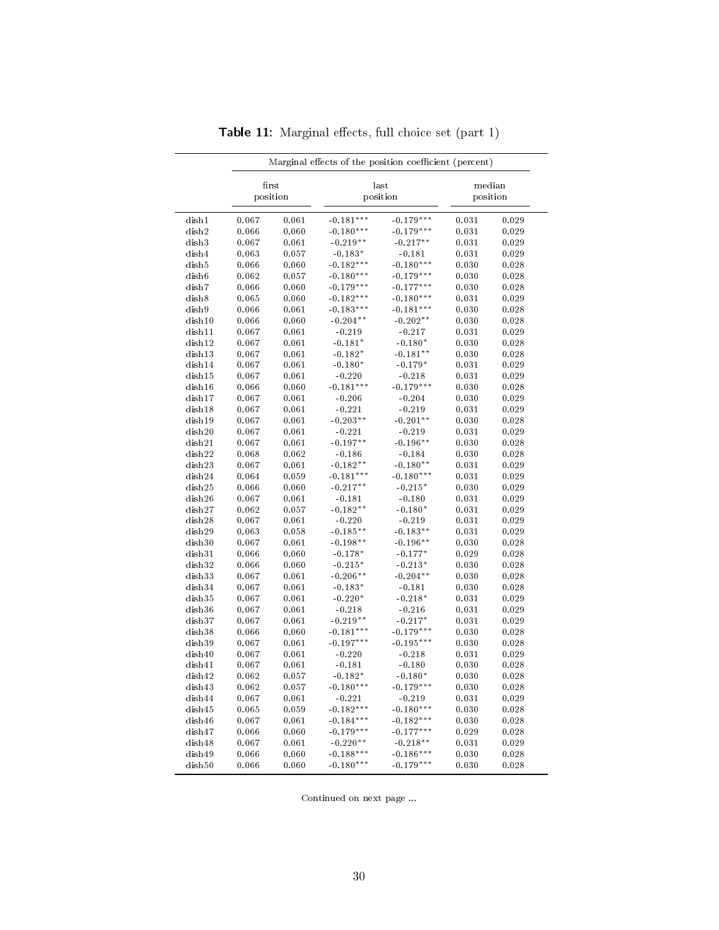<span id="page-31-0"></span>

|                  |                |                | Marginal effects of the position coefficient (percent) |                          |                |                    |
|------------------|----------------|----------------|--------------------------------------------------------|--------------------------|----------------|--------------------|
|                  | first          | position       |                                                        | last<br>position         |                | median<br>position |
| dish1            | 0.067          | 0.061          | $-0.181***$                                            | $-0.179***$              | 0.031          | 0.029              |
| dish2            | 0.066          | 0.060          | $-0.180***$                                            | $-0.179***$              | 0.031          | 0.029              |
| dish3            | 0.067          | 0.061          | $-0.219**$                                             | $-0.217**$               | 0.031          | 0.029              |
| dish4            | 0.063          | 0.057          | $-0.183*$                                              | $-0.181$                 | 0.031          | 0.029              |
| dish5            | 0.066          | 0.060          | $-0.182***$                                            | $-0.180***$              | 0.030          | 0.028              |
| dish6            | 0.062          | 0.057          | $-0.180***$                                            | $-0.179***$              | 0.030          | 0.028              |
| dish7            | 0.066          | 0.060          | $-0.179***$                                            | $-0.177***$              | 0.030          | 0.028              |
| dish8            | 0.065          | 0.060          | $-0.182***$                                            | $-0.180***$              | 0.031          | 0.029              |
| dish9            | 0.066          | 0.061          | $-0.183***$                                            | $-0.181***$              | 0.030          | 0.028              |
| dish10           | 0.066          | 0.060          | $-0.204**$                                             | $-0.202**$               | 0.030          | 0.028              |
| dish11           | 0.067          | 0.061          | $-0.219$                                               | $-0.217$                 | 0.031          | 0.029              |
| dish12           | 0.067          | 0.061          | $-0.181*$                                              | $-0.180*$                | 0.030          | 0.028              |
| dish13           | 0.067          | 0.061          | $-0.182*$                                              | $-0.181**$               | 0.030          | 0.028              |
| dish14           | 0.067          | 0.061          | $-0.180*$                                              | $-0.179*$                | 0.031          | 0.029              |
| dish15           | 0.067          | 0.061          | $-0.220$                                               | $-0.218$                 | 0.031          | 0.029              |
| dish16           | 0.066          | 0.060          | $-0.181***$                                            | $-0.179***$              | 0.030          | 0.028              |
| dish17           | 0.067          | 0.061          | $-0.206$                                               | $-0.204$                 | 0.030          | 0.029              |
| dish18           | 0.067          | 0.061          | $-0.221$                                               | $-0.219$                 | 0.031          | 0.029              |
| dish19           | 0.067          | 0.061          | $-0.203**$                                             | $-0.201**$               | 0.030          | 0.028              |
| dish20           | 0.067          | 0.061          | $-0.221$                                               | $-0.219$                 | 0.031          | 0.029              |
| dish21           | 0.067          | 0.061          | $-0.197**$                                             | $-0.196**$               | 0.030          | 0.028              |
| dish22           | 0.068          | 0.062          | $-0.186$                                               | $-0.184$                 | 0.030          | 0.028              |
| dish23           | 0.067          | 0.061          | $-0.182**$                                             | $-0.180**$               | 0.031          | 0.029              |
| dish24           | 0.064          | 0.059          | $-0.181***$                                            | $-0.180***$              | 0.031          | 0.029              |
| dish25           | 0.066          | 0.060          | $-0.217**$                                             | $-0.215*$                | 0.030          | 0.029              |
| dish26           | 0.067          | 0.061          | $-0.181$                                               | $-0.180$                 | 0.031          | 0.029              |
| dish27           | 0.062          | 0.057          | $-0.182**$                                             | $-0.180*$                | 0.031          | 0.029              |
| dish28           | 0.067          | 0.061          | $-0.220$                                               | $-0.219$                 | 0.031          | 0.029              |
| dish29           | 0.063          | 0.058          | $-0.185**$                                             | $-0.183**$               | 0.031          | 0.029              |
| dish30           | 0.067          | 0.061          | $-0.198**$                                             | $-0.196**$               | 0.030          | 0.028              |
| dish31           | 0.066          | 0.060          | $-0.178*$                                              | $-0.177*$                | 0.029          | 0.028              |
| dish32           | 0.066          | 0.060          | $-0.215*$                                              | $-0.213*$                | 0.030          | 0.028              |
| dish33           | 0.067          | 0.061          | $-0.206**$                                             | $-0.204**$               | 0.030          | 0.028              |
| dish34           | 0.067          | 0.061          | $-0.183*$                                              | $-0.181$                 | 0.030          | 0.028              |
| dish35           | 0.067          | 0.061          | $-0.220*$                                              | $-0.218*$                | 0.031          | 0.029              |
| dish36           | 0.067          | 0.061          | $-0.218$                                               | $-0.216$                 | 0.031          | 0.029              |
| dish37           | 0.067          | 0.061          | $-0.219**$                                             | $-0.217*$                | 0.031          | 0.029              |
| dish38           | 0.066          | 0.060          | $-0.181***$                                            | $-0.179***$              | 0.030          | 0.028              |
| dish39           | 0.067          | 0.061          | $-0.197***$                                            | $-0.195***$              | 0.030          | 0.028              |
| dish40           | 0.067          | 0.061          | $-0.220$                                               | $-0.218$                 | 0.031          | 0.029              |
| dish41           | 0.067          |                | $-0.181$                                               | $-0.180$                 |                | 0.028              |
|                  |                | 0.061          |                                                        |                          | 0.030          |                    |
| dish42<br>dish43 | 0.062<br>0.062 | 0.057<br>0.057 | $-0.182*$<br>$-0.180***$                               | $-0.180*$<br>$-0.179***$ | 0.030<br>0.030 | 0.028<br>0.028     |
| dish44           |                |                |                                                        |                          |                |                    |
|                  | 0.067          | 0.061          | $-0.221$<br>$-0.182***$                                | $-0.219$<br>$-0.180***$  | 0.031<br>0.030 | 0.029              |
| dish45           | 0.065          | 0.059          |                                                        |                          |                | 0.028              |
| dish46           | 0.067          | 0.061          | $-0.184***$                                            | $-0.182***$              | 0.030          | 0.028              |
| dish47           | 0.066          | 0.060          | $-0.179***$                                            | $-0.177***$              | 0.029          | 0.028              |
| dish48           | 0.067          | 0.061          | $-0.220**$                                             | $-0.218**$               | 0.031          | 0.029              |
| dish49           | 0.066          | 0.060          | $-0.188***$                                            | $-0.186***$              | 0.030          | 0.028              |
| dish50           | 0.066          | 0.060          | $-0.180***$                                            | $-0.179***$              | 0.030          | 0.028              |

 ${\sf Table\ 11:}$  Marginal effects, full choice set (part 1)

Continued on next page ...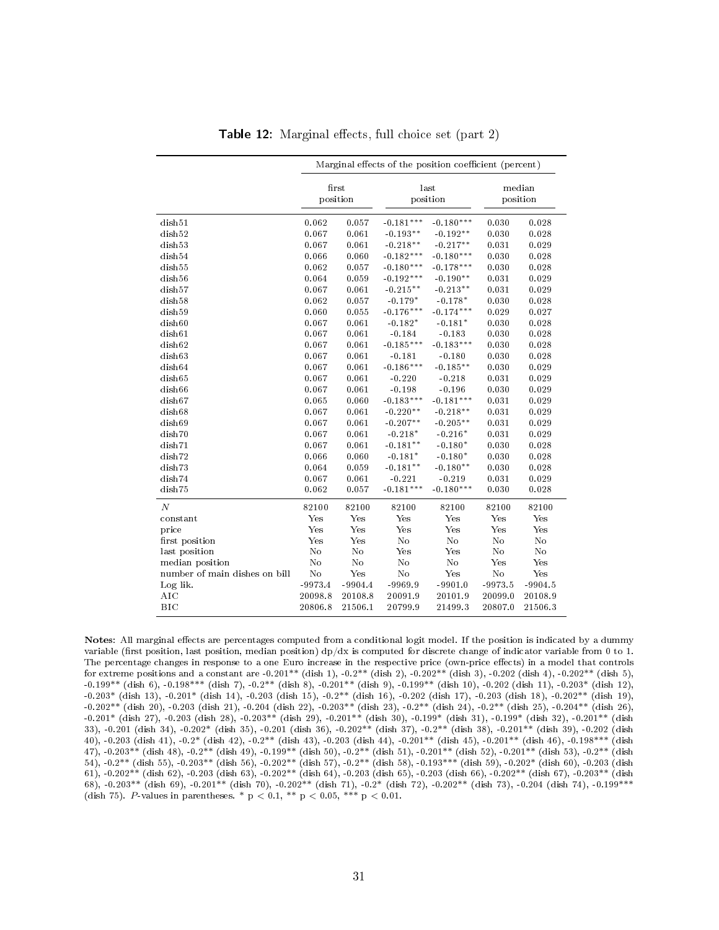<span id="page-32-0"></span>

|                               |            |                   | Marginal effects of the position coefficient (percent) |                  |           |                    |  |
|-------------------------------|------------|-------------------|--------------------------------------------------------|------------------|-----------|--------------------|--|
|                               |            | first<br>position |                                                        | last<br>position |           | median<br>position |  |
| dish51                        | 0.062      | 0.057             | $-0.181***$                                            | $-0.180***$      | 0.030     | 0.028              |  |
| dish52                        | 0.067      | 0.061             | $-0.193**$                                             | $-0.192**$       | 0.030     | 0.028              |  |
| dish53                        | 0.067      | 0.061             | $-0.218**$                                             | $-0.217**$       | 0.031     | 0.029              |  |
| dish54                        | 0.066      | 0.060             | $-0.182***$                                            | $-0.180***$      | 0.030     | 0.028              |  |
| dish55                        | 0.062      | 0.057             | $-0.180***$                                            | $-0.178***$      | 0.030     | 0.028              |  |
| dish56                        | 0.064      | 0.059             | $-0.192***$                                            | $-0.190**$       | 0.031     | 0.029              |  |
| dish57                        | 0.067      | 0.061             | $-0.215**$                                             | $-0.213**$       | 0.031     | 0.029              |  |
| dish58                        | 0.062      | 0.057             | $-0.179*$                                              | $-0.178*$        | 0.030     | 0.028              |  |
| dish59                        | 0.060      | 0.055             | $-0.176***$                                            | $-0.174***$      | 0.029     | 0.027              |  |
| dish60                        | 0.067      | 0.061             | $-0.182*$                                              | $-0.181*$        | 0.030     | 0.028              |  |
| dish61                        | 0.067      | 0.061             | $-0.184$                                               | $-0.183$         | 0.030     | 0.028              |  |
| dish62                        | 0.067      | 0.061             | $-0.185***$                                            | $-0.183***$      | 0.030     | 0.028              |  |
| dish63                        | 0.067      | 0.061             | $-0.181$                                               | $-0.180$         | 0.030     | 0.028              |  |
| dish64                        | 0.067      | 0.061             | $-0.186***$                                            | $-0.185**$       | 0.030     | 0.029              |  |
| dish65                        | 0.067      | 0.061             | $-0.220$                                               | $-0.218$         | 0.031     | 0.029              |  |
| dish66                        | 0.067      | 0.061             | $-0.198$                                               | $-0.196$         | 0.030     | 0.029              |  |
| dish67                        | 0.065      | 0.060             | $-0.183***$                                            | $-0.181***$      | 0.031     | 0.029              |  |
| dish68                        | 0.067      | 0.061             | $-0.220**$                                             | $-0.218**$       | 0.031     | 0.029              |  |
| dish69                        | 0.067      | 0.061             | $-0.207**$                                             | $-0.205**$       | 0.031     | 0.029              |  |
| dish70                        | 0.067      | 0.061             | $-0.218*$                                              | $-0.216*$        | 0.031     | 0.029              |  |
| dish71                        | $\bf0.067$ | 0.061             | $-0.181**$                                             | $-0.180*$        | 0.030     | 0.028              |  |
| dish72                        | 0.066      | 0.060             | $-0.181*$                                              | $-0.180*$        | 0.030     | 0.028              |  |
| dish73                        | 0.064      | 0.059             | $-0.181**$                                             | $-0.180**$       | 0.030     | 0.028              |  |
| dish74                        | 0.067      | 0.061             | $-0.221$                                               | $-0.219$         | 0.031     | 0.029              |  |
| dish75                        | 0.062      | 0.057             | $-0.181***$                                            | $-0.180***$      | 0.030     | 0.028              |  |
| $\boldsymbol{N}$              | 82100      | 82100             | 82100                                                  | 82100            | 82100     | 82100              |  |
| constant                      | Yes        | Yes               | Yes                                                    | Yes              | Yes       | Yes                |  |
| price                         | Yes        | Yes               | Yes                                                    | Yes              | Yes       | Yes                |  |
| first position                | Yes        | Yes               | No                                                     | No               | No        | N <sub>o</sub>     |  |
| last position                 | No         | No                | Yes                                                    | Yes              | No        | No                 |  |
| median position               | No         | No                | No                                                     | No               | Yes       | Yes                |  |
| number of main dishes on bill | $\rm No$   | Yes               | No                                                     | Yes              | $\rm No$  | Yes                |  |
| Log lik.                      | $-9973.4$  | $-9904.4$         | $-9969.9$                                              | $-9901.0$        | $-9973.5$ | $-9904.5$          |  |
| AIC                           | 20098.8    | 20108.8           | 20091.9                                                | 20101.9          | 20099.0   | 20108.9            |  |
| BIC                           | 20806.8    | 21506.1           | 20799.9                                                | 21499.3          | 20807.0   | 21506.3            |  |

**Table 12:** Marginal effects, full choice set (part 2)

Notes: All marginal effects are percentages computed from a conditional logit model. If the position is indicated by a dummy variable (first position, last position, median position)  $dp/dx$  is computed for discrete change of indicator variable from 0 to 1. The percentage changes in response to a one Euro increase in the respective price (own-price effects) in a model that controls for extreme positions and a constant are  $-0.201^{**}$  (dish 1),  $-0.2^{**}$  (dish 2),  $-0.202^{**}$  (dish 3),  $-0.202$  (dish 4),  $-0.202^{**}$  (dish 5),  $-0.199**$  (dish 6),  $-0.198***$  (dish 7),  $-0.2**$  (dish 8),  $-0.201**$  (dish 9),  $-0.199**$  (dish 10),  $-0.202$  (dish 11),  $-0.203*$  (dish 12), -0.203\* (dish 13), -0.201\* (dish 14), -0.203 (dish 15), -0.2\*\* (dish 16), -0.202 (dish 17), -0.203 (dish 18), -0.202\*\* (dish 19), -0.202\*\* (dish 20), -0.203 (dish 21), -0.204 (dish 22), -0.203\*\* (dish 23), -0.2\*\* (dish 24), -0.2\*\* (dish 25), -0.204\*\* (dish 26), -0.201\* (dish 27), -0.203 (dish 28), -0.203\*\* (dish 29), -0.201\*\* (dish 30), -0.199\* (dish 31), -0.199\* (dish 32), -0.201\*\* (dish 33), -0.201 (dish 34), -0.202\* (dish 35), -0.201 (dish 36), -0.202\*\* (dish 37), -0.2\*\* (dish 38), -0.201\*\* (dish 39), -0.202 (dish 40), -0.203 (dish 41), -0.2\* (dish 42), -0.2\*\* (dish 43), -0.203 (dish 44), -0.201\*\* (dish 45), -0.201\*\* (dish 46), -0.198\*\*\* (dish 47), -0.203\*\* (dish 48), -0.2\*\* (dish 49), -0.199\*\* (dish 50), -0.2\*\* (dish 51), -0.201\*\* (dish 52), -0.201\*\* (dish 53), -0.2\*\* (dish 54), -0.2\*\* (dish 55), -0.203\*\* (dish 56), -0.202\*\* (dish 57), -0.2\*\* (dish 58), -0.193\*\*\* (dish 59), -0.202\* (dish 60), -0.203 (dish 61),  $-0.202^{**}$  (dish 62),  $-0.203$  (dish 63),  $-0.202^{**}$  (dish 64),  $-0.203$  (dish 65),  $-0.203$  (dish 66),  $-0.202^{**}$  (dish 67),  $-0.203^{**}$  (dish 68), -0.203\*\* (dish 69), -0.201\*\* (dish 70), -0.202\*\* (dish 71), -0.2\* (dish 72), -0.202\*\* (dish 73), -0.204 (dish 74), -0.199\*\*\* (dish 75). P-values in parentheses. \*  $p < 0.1$ , \*\*  $p < 0.05$ , \*\*\*  $p < 0.01$ .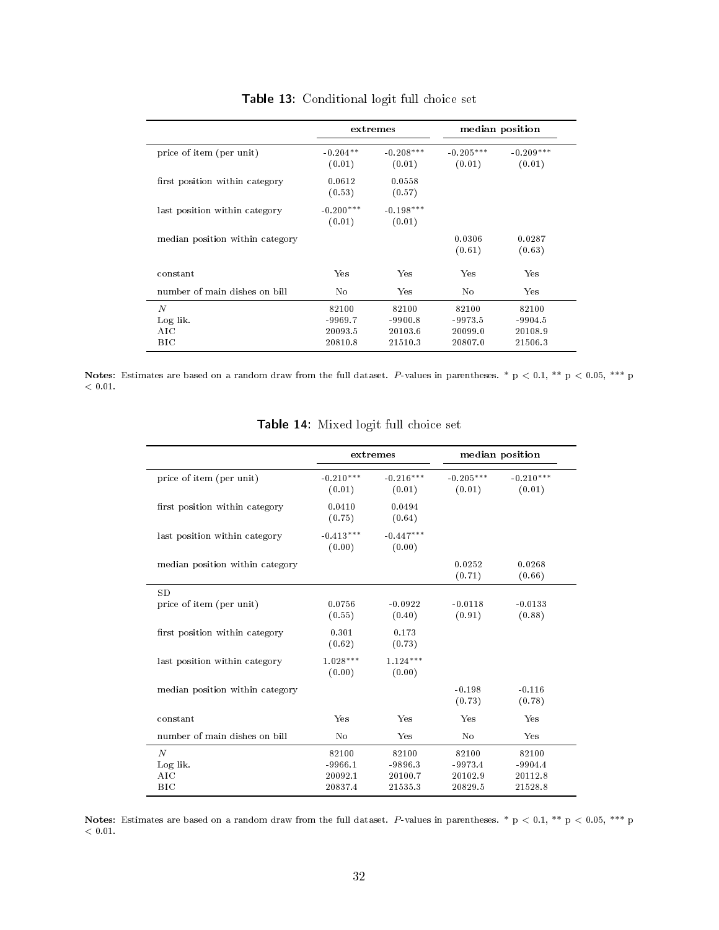<span id="page-33-0"></span>

|                                 |                                          | extremes                                 |                                          | median position                          |
|---------------------------------|------------------------------------------|------------------------------------------|------------------------------------------|------------------------------------------|
| price of item (per unit)        | $-0.204**$<br>(0.01)                     | $-0.208***$<br>(0.01)                    | $-0.205***$<br>(0.01)                    | $-0.209***$<br>(0.01)                    |
| first position within category  | 0.0612<br>(0.53)                         | 0.0558<br>(0.57)                         |                                          |                                          |
| last position within category   | $-0.200***$<br>(0.01)                    | $-0.198***$<br>(0.01)                    |                                          |                                          |
| median position within category |                                          |                                          | 0.0306<br>(0.61)                         | 0.0287<br>(0.63)                         |
| constant                        | Yes                                      | Yes                                      | Yes                                      | Yes                                      |
| number of main dishes on bill   | No                                       | Yes                                      | No                                       | Yes                                      |
| N<br>Log lik.<br>AIC<br>BІC     | 82100<br>$-9969.7$<br>20093.5<br>20810.8 | 82100<br>$-9900.8$<br>20103.6<br>21510.3 | 82100<br>$-9973.5$<br>20099.0<br>20807.0 | 82100<br>$-9904.5$<br>20108.9<br>21506.3 |

Table 13: Conditional logit full choice set

<span id="page-33-1"></span>Notes: Estimates are based on a random draw from the full dataset. P-values in parentheses. \*  $p < 0.1$ , \*\*  $p < 0.05$ , \*\*\* p  $<\,0.01.$ 

|                                   |                               | extremes                      |                               | median position               |
|-----------------------------------|-------------------------------|-------------------------------|-------------------------------|-------------------------------|
| price of item (per unit)          | $-0.210***$<br>(0.01)         | $-0.216***$<br>(0.01)         | $-0.205***$<br>(0.01)         | $-0.210***$<br>(0.01)         |
| first position within category    | 0.0410<br>(0.75)              | 0.0494<br>(0.64)              |                               |                               |
| last position within category     | $-0.413***$<br>(0.00)         | $-0.447***$<br>(0.00)         |                               |                               |
| median position within category   |                               |                               | 0.0252<br>(0.71)              | 0.0268<br>(0.66)              |
| SD<br>price of item (per unit)    | 0.0756<br>(0.55)              | $-0.0922$<br>(0.40)           | $-0.0118$<br>(0.91)           | $-0.0133$<br>(0.88)           |
| first position within category    | 0.301<br>(0.62)               | 0.173<br>(0.73)               |                               |                               |
| last position within category     | $1.028***$<br>(0.00)          | $1.124***$<br>(0.00)          |                               |                               |
| median position within category   |                               |                               | $-0.198$<br>(0.73)            | $-0.116$<br>(0.78)            |
| constant                          | Yes                           | Yes                           | Yes                           | Yes                           |
| number of main dishes on bill     | No                            | Yes                           | No                            | Yes                           |
| $\overline{N}$<br>Log lik.<br>AIC | 82100<br>$-9966.1$<br>20092.1 | 82100<br>$-9896.3$<br>20100.7 | 82100<br>$-9973.4$<br>20102.9 | 82100<br>$-9904.4$<br>20112.8 |

Table 14: Mixed logit full choice set

Notes: Estimates are based on a random draw from the full dataset. P-values in parentheses. \*  $p < 0.1$ , \*\*  $p < 0.05$ , \*\*\* p  $< 0.01$ .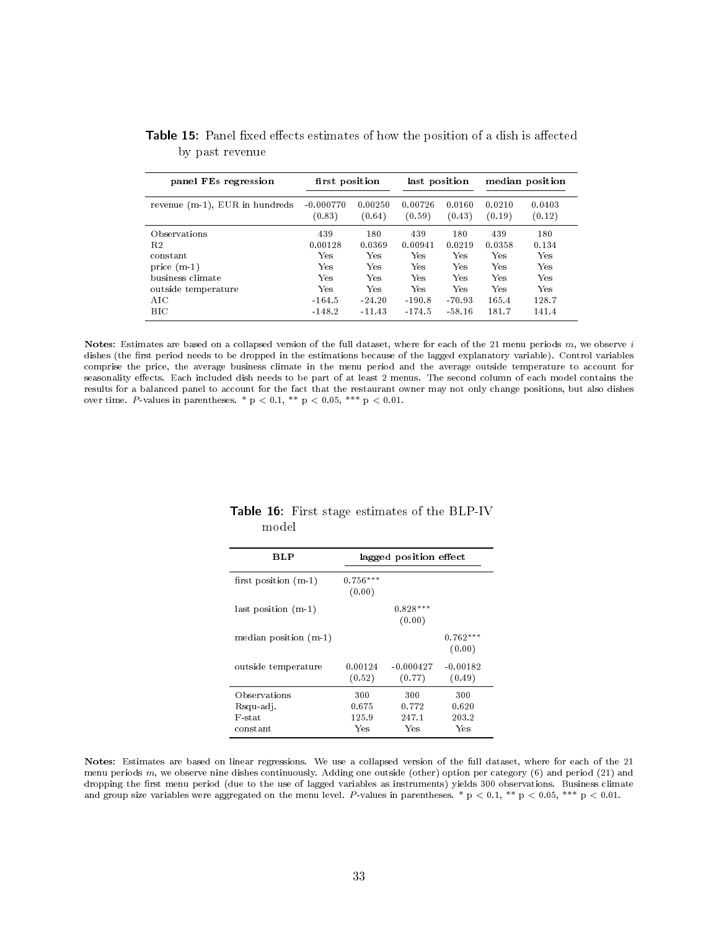| panel FEs regression              | first position        |                   | last position     |                  | median position  |                  |
|-----------------------------------|-----------------------|-------------------|-------------------|------------------|------------------|------------------|
| revenue $(m-1)$ , EUR in hundreds | $-0.000770$<br>(0.83) | 0.00250<br>(0.64) | 0.00726<br>(0.59) | 0.0160<br>(0.43) | 0.0210<br>(0.19) | 0.0403<br>(0.12) |
| Observations                      | 439                   | 180               | 439               | 180              | 439              | 180              |
| R <sub>2</sub>                    | 0.00128               | 0.0369            | 0.00941           | 0.0219           | 0.0358           | 0.134            |
| constant                          | Yes                   | Yes               | Yes               | Yes              | Yes              | Yes              |
| price $(m-1)$                     | Yes                   | Yes               | Yes               | Yes              | <b>Yes</b>       | Yes              |
| business climate                  | Yes                   | Yes               | Yes               | Yes              | Yes              | Yes              |
| outside temperature               | Yes                   | Yes               | <b>Yes</b>        | <b>Ves</b>       | Yes              | Yes              |
| AIC                               | $-164.5$              | $-24.20$          | $-190.8$          | $-70.93$         | 165.4            | 128.7            |
| <b>BIC</b>                        | $-148.2$              | $-11.43$          | $-174.5$          | $-58.16$         | 181.7            | 141.4            |

<span id="page-34-0"></span>Table 15: Panel fixed effects estimates of how the position of a dish is affected by past revenue

Notes: Estimates are based on a collapsed version of the full dataset, where for each of the 21 menu periods  $m$ , we observe  $i$ dishes (the first period needs to be dropped in the estimations because of the lagged explanatory variable). Control variables comprise the price, the average business climate in the menu period and the average outside temperature to account for seasonality effects. Each included dish needs to be part of at least 2 menus. The second column of each model contains the results for a balanced panel to account for the fact that the restaurant owner may not only change positions, but also dishes over time. P-values in parentheses. \*  $p < 0.1$ , \*\*  $p < 0.05$ , \*\*\*  $p < 0.01$ .

| BLP                                             | lagged position effect       |                              |                              |  |  |
|-------------------------------------------------|------------------------------|------------------------------|------------------------------|--|--|
| first position $(m-1)$                          | $0.756***$<br>(0.00)         |                              |                              |  |  |
| last position (m-1)                             |                              | $0.828***$<br>(0.00)         |                              |  |  |
| median position $(m-1)$                         |                              |                              | $0.762***$<br>(0.00)         |  |  |
| outside temperature                             | 0.00124<br>(0.52)            | $-0.000427$<br>(0.77)        | $-0.00182$<br>(0.49)         |  |  |
| Observations<br>Rsqu-adj.<br>F-stat<br>constant | 300<br>0.675<br>125.9<br>Yes | 300<br>0.772<br>247.1<br>Ves | 300<br>0.620<br>203.2<br>Yes |  |  |

#### <span id="page-34-1"></span>Table 16: First stage estimates of the BLP-IV model

Notes: Estimates are based on linear regressions. We use a collapsed version of the full dataset, where for each of the 21 menu periods  $m$ , we observe nine dishes continuously. Adding one outside (other) option per category (6) and period (21) and dropping the first menu period (due to the use of lagged variables as instruments) yields 300 observations. Business climate and group size variables were aggregated on the menu level. P-values in parentheses. \*  $p < 0.1$ , \*\*  $p < 0.05$ , \*\*\*  $p < 0.01$ .